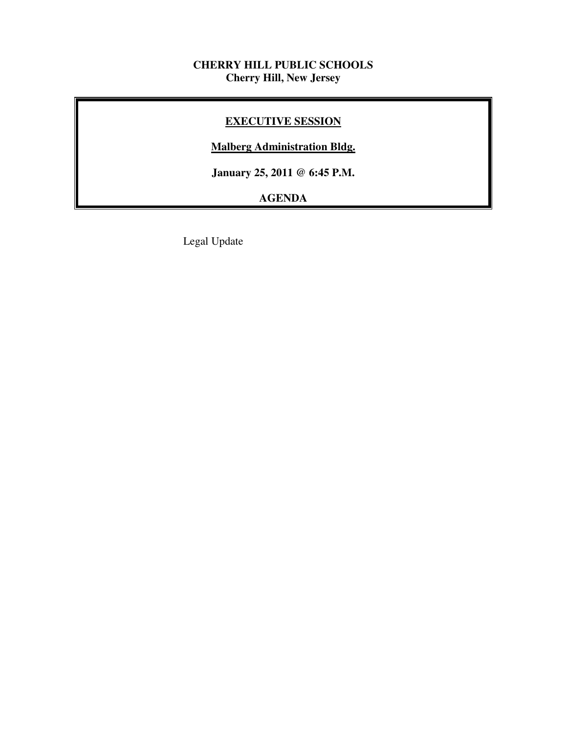## **CHERRY HILL PUBLIC SCHOOLS Cherry Hill, New Jersey**

## **EXECUTIVE SESSION**

## **Malberg Administration Bldg.**

 **January 25, 2011 @ 6:45 P.M.** 

# **AGENDA**

Legal Update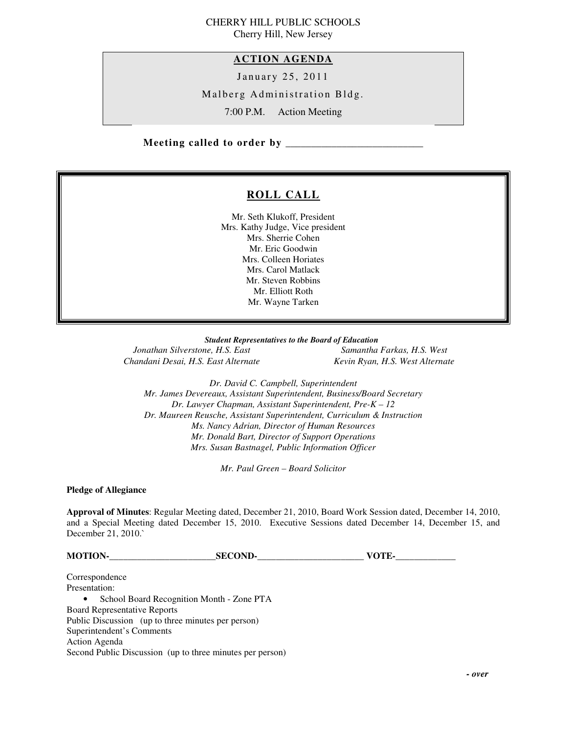# CHERRY HILL PUBLIC SCHOOLS

Cherry Hill, New Jersey

#### **ACTION AGENDA**

January 25, 2011

Malberg Administration Bldg.

7:00 P.M. Action Meeting

 **Meeting called to order by \_\_\_\_\_\_\_\_\_\_\_\_\_\_\_\_\_\_\_\_\_\_\_\_\_\_\_** 

## **ROLL CALL**

 Mr. Seth Klukoff, President Mrs. Kathy Judge, Vice president Mrs. Sherrie Cohen Mr. Eric Goodwin Mrs. Colleen Horiates Mrs. Carol Matlack Mr. Steven Robbins Mr. Elliott Roth Mr. Wayne Tarken

 *Student Representatives to the Board of Education* 

**Jonathan Silverstone, H.S. East** Chandani Desai, H.S. East Alternate **Kevin Ryan, H.S. West Alternate** 

*Samantha Farkas, H.S. West* 

 *Dr. David C. Campbell, Superintendent Mr. James Devereaux, Assistant Superintendent, Business/Board Secretary Dr. Lawyer Chapman, Assistant Superintendent, Pre-K – 12 Dr. Maureen Reusche, Assistant Superintendent, Curriculum & Instruction Ms. Nancy Adrian, Director of Human Resources Mr. Donald Bart, Director of Support Operations Mrs. Susan Bastnagel, Public Information Officer* 

 *Mr. Paul Green – Board Solicitor* 

 **Pledge of Allegiance** 

 **Approval of Minutes**: Regular Meeting dated, December 21, 2010, Board Work Session dated, December 14, 2010, and a Special Meeting dated December 15, 2010. Executive Sessions dated December 14, December 15, and December 21, 2010.`

**MOTION-\_\_\_\_\_\_\_\_\_\_\_\_\_\_\_\_\_\_\_\_\_\_\_SECOND-\_\_\_\_\_\_\_\_\_\_\_\_\_\_\_\_\_\_\_\_\_\_\_ VOTE-\_\_\_\_\_\_\_\_\_\_\_\_\_** 

Presentation: Presentation:<br>• School Board Recognition Month - Zone PTA Board Representative Reports Public Discussion (up to three minutes per person) Superintendent's Comments Action Agenda Second Public Discussion (up to three minutes per person) Correspondence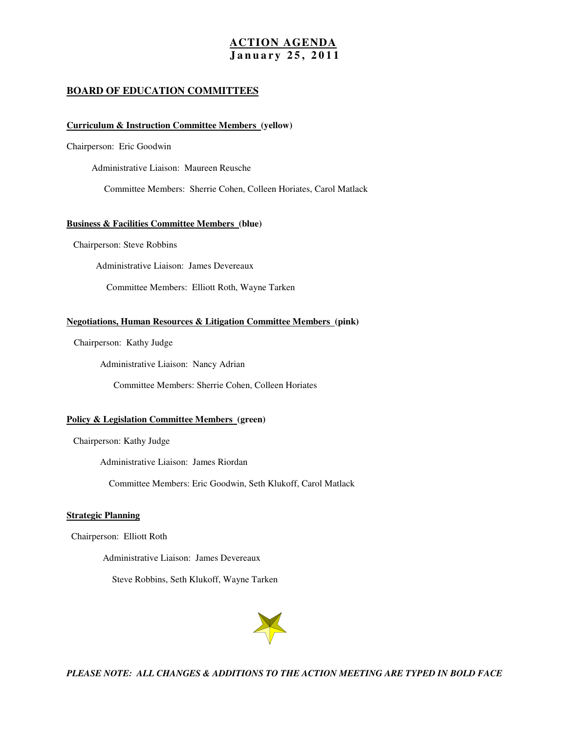#### **ACTION AGENDA J a n u a r y 2 5 , 2 0 1 1**

#### **BOARD OF EDUCATION COMMITTEES**

#### **Curriculum & Instruction Committee Members (yellow)**

Chairperson: Eric Goodwin

Administrative Liaison: Maureen Reusche

Committee Members: Sherrie Cohen, Colleen Horiates, Carol Matlack

#### **Business & Facilities Committee Members (blue)**

Chairperson: Steve Robbins

Administrative Liaison: James Devereaux

Committee Members: Elliott Roth, Wayne Tarken

#### **Negotiations, Human Resources & Litigation Committee Members (pink)**

Chairperson: Kathy Judge

Administrative Liaison: Nancy Adrian

Committee Members: Sherrie Cohen, Colleen Horiates

#### **Policy & Legislation Committee Members (green)**

Chairperson: Kathy Judge

Administrative Liaison: James Riordan

Committee Members: Eric Goodwin, Seth Klukoff, Carol Matlack

#### **Strategic Planning**

Chairperson: Elliott Roth

Administrative Liaison: James Devereaux

Steve Robbins, Seth Klukoff, Wayne Tarken



 *PLEASE NOTE: ALL CHANGES & ADDITIONS TO THE ACTION MEETING ARE TYPED IN BOLD FACE*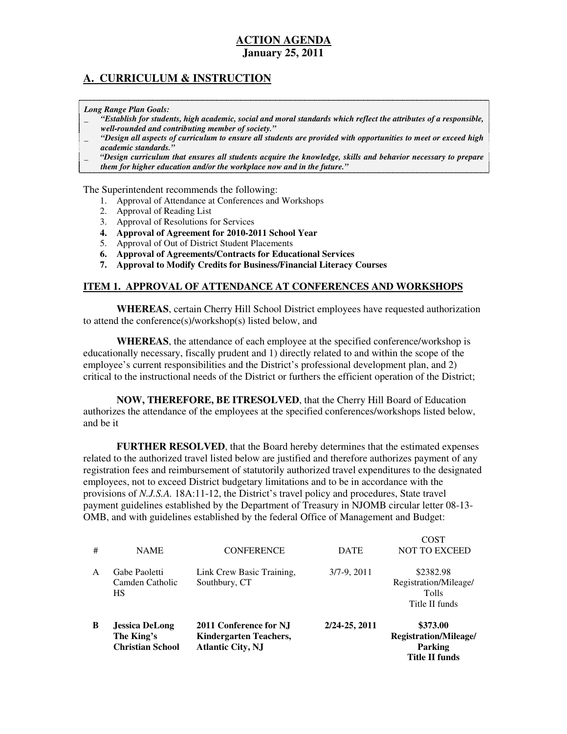## **A. CURRICULUM & INSTRUCTION**

 *Long Range Plan Goals:* 

- \_ *"Establish for students, high academic, social and moral standards which reflect the attributes of a responsible, well-rounded and contributing member of society."*
- \_ *"Design all aspects of curriculum to ensure all students are provided with opportunities to meet or exceed high academic standards."*
- \_ *"Design curriculum that ensures all students acquire the knowledge, skills and behavior necessary to prepare them for higher education and/or the workplace now and in the future."*

The Superintendent recommends the following:

- 1. Approval of Attendance at Conferences and Workshops
- 2. Approval of Reading List
- 3. Approval of Resolutions for Services
- **4. Approval of Agreement for 2010-2011 School Year**
- 5. Approval of Out of District Student Placements
- **6. Approval of Agreements/Contracts for Educational Services**
- **7. Approval to Modify Credits for Business/Financial Literacy Courses**

#### **ITEM 1. APPROVAL OF ATTENDANCE AT CONFERENCES AND WORKSHOPS**

 **WHEREAS**, certain Cherry Hill School District employees have requested authorization to attend the conference(s)/workshop(s) listed below, and

 **WHEREAS**, the attendance of each employee at the specified conference/workshop is educationally necessary, fiscally prudent and 1) directly related to and within the scope of the employee's current responsibilities and the District's professional development plan, and 2) critical to the instructional needs of the District or furthers the efficient operation of the District;

 **NOW, THEREFORE, BE ITRESOLVED**, that the Cherry Hill Board of Education authorizes the attendance of the employees at the specified conferences/workshops listed below, and be it

 **FURTHER RESOLVED**, that the Board hereby determines that the estimated expenses related to the authorized travel listed below are justified and therefore authorizes payment of any registration fees and reimbursement of statutorily authorized travel expenditures to the designated employees, not to exceed District budgetary limitations and to be in accordance with the provisions of *N.J.S.A.* 18A:11-12, the District's travel policy and procedures, State travel payment guidelines established by the Department of Treasury in NJOMB circular letter 08-13 OMB, and with guidelines established by the federal Office of Management and Budget:

| B | <b>Jessica DeLong</b><br>The King's<br><b>Christian School</b> | 2011 Conference for NJ<br><b>Kindergarten Teachers,</b><br><b>Atlantic City, NJ</b> | 2/24-25, 2011 | \$373.00<br>Registration/Mileage/<br><b>Parking</b><br><b>Title II funds</b> |
|---|----------------------------------------------------------------|-------------------------------------------------------------------------------------|---------------|------------------------------------------------------------------------------|
| A | Gabe Paoletti<br>Camden Catholic<br><b>HS</b>                  | Link Crew Basic Training,<br>Southbury, CT                                          | $3/7-9, 2011$ | \$2382.98<br>Registration/Mileage/<br><b>Tolls</b><br>Title II funds         |
| # | <b>NAME</b>                                                    | <b>CONFERENCE</b>                                                                   | <b>DATE</b>   | COST<br><b>NOT TO EXCEED</b>                                                 |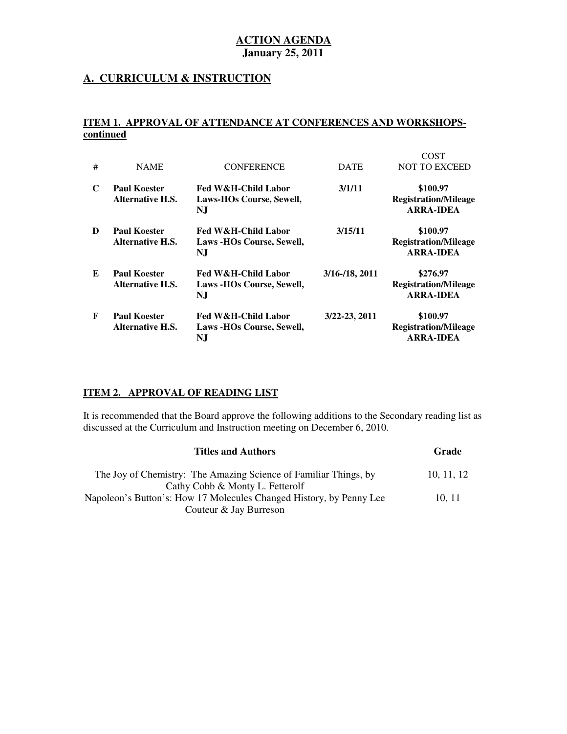### **A. CURRICULUM & INSTRUCTION**

#### **ITEM 1. APPROVAL OF ATTENDANCE AT CONFERENCES AND WORKSHOPScontinued**

| #  | <b>NAME</b>                                    | <b>CONFERENCE</b>                                      | <b>DATE</b>        | <b>COST</b><br><b>NOT TO EXCEED</b>                         |
|----|------------------------------------------------|--------------------------------------------------------|--------------------|-------------------------------------------------------------|
| C  | <b>Paul Koester</b><br><b>Alternative H.S.</b> | Fed W&H-Child Labor<br>Laws-HOs Course, Sewell,<br>NJ  | 3/1/11             | \$100.97<br><b>Registration/Mileage</b><br><b>ARRA-IDEA</b> |
| D  | <b>Paul Koester</b><br><b>Alternative H.S.</b> | Fed W&H-Child Labor<br>Laws -HOs Course, Sewell,<br>NJ | 3/15/11            | \$100.97<br><b>Registration/Mileage</b><br><b>ARRA-IDEA</b> |
| E. | <b>Paul Koester</b><br><b>Alternative H.S.</b> | Fed W&H-Child Labor<br>Laws -HOs Course, Sewell,<br>NJ | $3/16 - 18$ , 2011 | \$276.97<br><b>Registration/Mileage</b><br><b>ARRA-IDEA</b> |
| F  | <b>Paul Koester</b><br><b>Alternative H.S.</b> | Fed W&H-Child Labor<br>Laws -HOs Course, Sewell,<br>NJ | 3/22-23, 2011      | \$100.97<br><b>Registration/Mileage</b><br><b>ARRA-IDEA</b> |

## **ITEM 2. APPROVAL OF READING LIST**

 It is recommended that the Board approve the following additions to the Secondary reading list as discussed at the Curriculum and Instruction meeting on December 6, 2010.

| <b>Titles and Authors</b>                                                                              | Grade      |
|--------------------------------------------------------------------------------------------------------|------------|
| The Joy of Chemistry: The Amazing Science of Familiar Things, by                                       | 10, 11, 12 |
| Cathy Cobb & Monty L. Fetterolf<br>Napoleon's Button's: How 17 Molecules Changed History, by Penny Lee | 10, 11     |
| Couteur & Jay Burreson                                                                                 |            |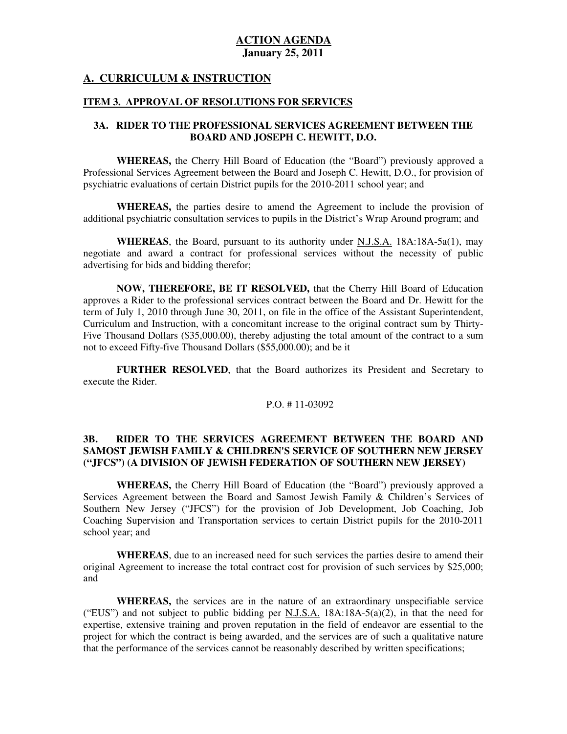#### **A. CURRICULUM & INSTRUCTION**

#### **ITEM 3. APPROVAL OF RESOLUTIONS FOR SERVICES**

#### **3A. RIDER TO THE PROFESSIONAL SERVICES AGREEMENT BETWEEN THE BOARD AND JOSEPH C. HEWITT, D.O.**

 **WHEREAS,** the Cherry Hill Board of Education (the "Board") previously approved a Professional Services Agreement between the Board and Joseph C. Hewitt, D.O., for provision of psychiatric evaluations of certain District pupils for the 2010-2011 school year; and

 **WHEREAS,** the parties desire to amend the Agreement to include the provision of additional psychiatric consultation services to pupils in the District's Wrap Around program; and

 **WHEREAS**, the Board, pursuant to its authority under N.J.S.A. 18A:18A-5a(1), may negotiate and award a contract for professional services without the necessity of public advertising for bids and bidding therefor;

 **NOW, THEREFORE, BE IT RESOLVED,** that the Cherry Hill Board of Education approves a Rider to the professional services contract between the Board and Dr. Hewitt for the term of July 1, 2010 through June 30, 2011, on file in the office of the Assistant Superintendent, Curriculum and Instruction, with a concomitant increase to the original contract sum by Thirty- Five Thousand Dollars (\$35,000.00), thereby adjusting the total amount of the contract to a sum not to exceed Fifty-five Thousand Dollars (\$55,000.00); and be it

 **FURTHER RESOLVED**, that the Board authorizes its President and Secretary to execute the Rider.

#### P.O. # 11-03092

#### 3B.  **SAMOST JEWISH FAMILY & CHILDREN'S SERVICE OF SOUTHERN NEW JERSEY ("JFCS") (A DIVISION OF JEWISH FEDERATION OF SOUTHERN NEW JERSEY) 3B. RIDER TO THE SERVICES AGREEMENT BETWEEN THE BOARD AND**

 **WHEREAS,** the Cherry Hill Board of Education (the "Board") previously approved a Services Agreement between the Board and Samost Jewish Family & Children's Services of Southern New Jersey ("JFCS") for the provision of Job Development, Job Coaching, Job Coaching Supervision and Transportation services to certain District pupils for the 2010-2011 school year; and

 **WHEREAS**, due to an increased need for such services the parties desire to amend their original Agreement to increase the total contract cost for provision of such services by \$25,000; and

 **WHEREAS,** the services are in the nature of an extraordinary unspecifiable service ("EUS") and not subject to public bidding per  $N.J.S.A.$  18A:18A-5(a)(2), in that the need for expertise, extensive training and proven reputation in the field of endeavor are essential to the project for which the contract is being awarded, and the services are of such a qualitative nature that the performance of the services cannot be reasonably described by written specifications;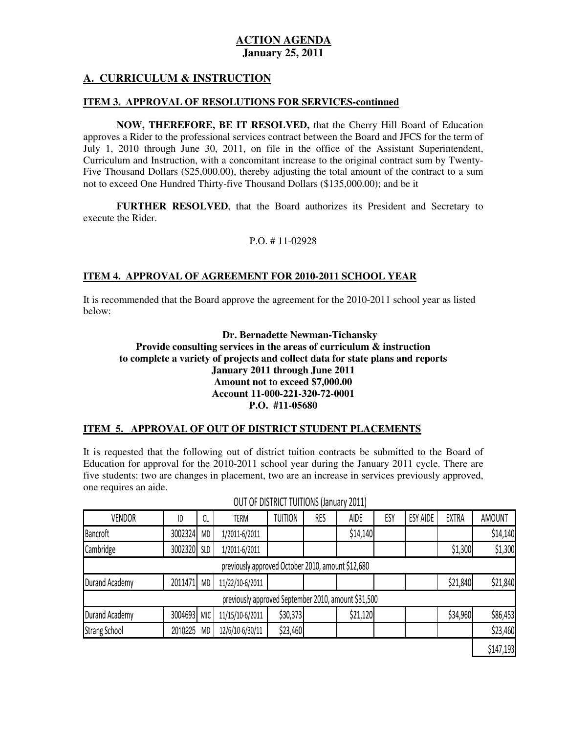## **A. CURRICULUM & INSTRUCTION**

#### **ITEM 3. APPROVAL OF RESOLUTIONS FOR SERVICES-continued**

 **NOW, THEREFORE, BE IT RESOLVED,** that the Cherry Hill Board of Education approves a Rider to the professional services contract between the Board and JFCS for the term of July 1, 2010 through June 30, 2011, on file in the office of the Assistant Superintendent, Curriculum and Instruction, with a concomitant increase to the original contract sum by Twenty- Five Thousand Dollars (\$25,000.00), thereby adjusting the total amount of the contract to a sum not to exceed One Hundred Thirty-five Thousand Dollars (\$135,000.00); and be it

 **FURTHER RESOLVED**, that the Board authorizes its President and Secretary to execute the Rider.

#### P.O. # 11-02928

#### **ITEM 4. APPROVAL OF AGREEMENT FOR 2010-2011 SCHOOL YEAR**

 It is recommended that the Board approve the agreement for the 2010-2011 school year as listed below:

 **Dr. Bernadette Newman-Tichansky Provide consulting services in the areas of curriculum & instruction to complete a variety of projects and collect data for state plans and reports January 2011 through June 2011 Amount not to exceed \$7,000.00 P.O. #11-05680 Account 11-000-221-320-72-0001** 

#### **ITEM 5. APPROVAL OF OUT OF DISTRICT STUDENT PLACEMENTS**

 It is requested that the following out of district tuition contracts be submitted to the Board of Education for approval for the 2010-2011 school year during the January 2011 cycle. There are five students: two are changes in placement, two are an increase in services previously approved, one requires an aide.

| <b>VENDOR</b>        | ID          | CL        | TERM                                                | <b>TUITION</b> | RES | <b>AIDE</b> | ESY | <b>ESY AIDE</b> | <b>EXTRA</b> | <b>AMOUNT</b> |
|----------------------|-------------|-----------|-----------------------------------------------------|----------------|-----|-------------|-----|-----------------|--------------|---------------|
| Bancroft             | 3002324     | <b>MD</b> | 1/2011-6/2011                                       |                |     | \$14,140    |     |                 |              | \$14,140      |
| Cambridge            | 3002320 SLD |           | 1/2011-6/2011                                       |                |     |             |     |                 | \$1,300      | \$1,300       |
|                      |             |           | previously approved October 2010, amount \$12,680   |                |     |             |     |                 |              |               |
| Durand Academy       | 2011471     | <b>MD</b> | 11/22/10-6/2011                                     |                |     |             |     |                 | \$21,840     | \$21,840      |
|                      |             |           | previously approved September 2010, amount \$31,500 |                |     |             |     |                 |              |               |
| Durand Academy       | 3004693 MIC |           | 11/15/10-6/2011                                     | \$30,373       |     | \$21,120    |     |                 | \$34,960     | \$86,453      |
| <b>Strang School</b> | 2010225     | <b>MD</b> | 12/6/10-6/30/11                                     | \$23,460       |     |             |     |                 |              | \$23,460      |
|                      |             |           |                                                     |                |     |             |     |                 |              | \$147,193     |

#### OUT OF DISTRICT TUITIONS (January 2011)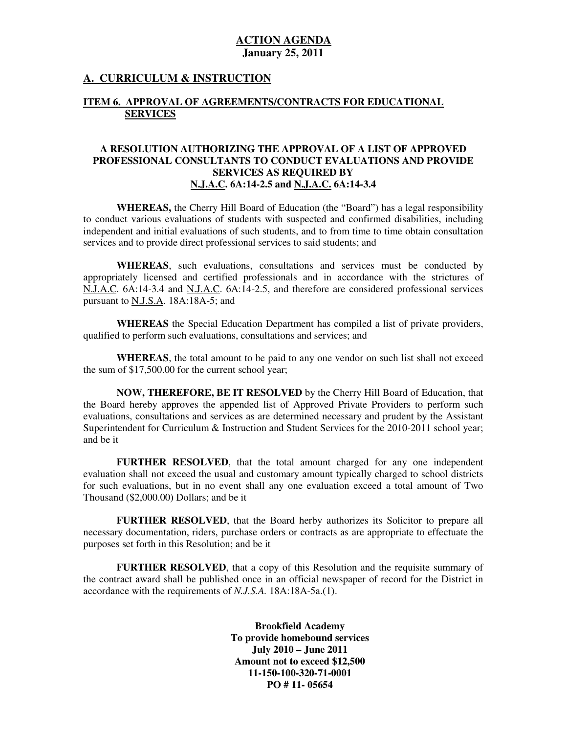#### **A. CURRICULUM & INSTRUCTION**

#### **ITEM 6. APPROVAL OF AGREEMENTS/CONTRACTS FOR EDUCATIONAL SERVICES**

#### **A RESOLUTION AUTHORIZING THE APPROVAL OF A LIST OF APPROVED PROFESSIONAL CONSULTANTS TO CONDUCT EVALUATIONS AND PROVIDE SERVICES AS REQUIRED BY N.J.A.C. 6A:14-2.5 and N.J.A.C. 6A:14-3.4**

 **WHEREAS,** the Cherry Hill Board of Education (the "Board") has a legal responsibility to conduct various evaluations of students with suspected and confirmed disabilities, including independent and initial evaluations of such students, and to from time to time obtain consultation services and to provide direct professional services to said students; and

 **WHEREAS**, such evaluations, consultations and services must be conducted by appropriately licensed and certified professionals and in accordance with the strictures of N.J.A.C. 6A:14-3.4 and N.J.A.C. 6A:14-2.5, and therefore are considered professional services pursuant to <u>N.J.S.A</u>. 18A:18A-5; and

 **WHEREAS** the Special Education Department has compiled a list of private providers, qualified to perform such evaluations, consultations and services; and

 **WHEREAS**, the total amount to be paid to any one vendor on such list shall not exceed the sum of \$17,500.00 for the current school year;

 **NOW, THEREFORE, BE IT RESOLVED** by the Cherry Hill Board of Education, that the Board hereby approves the appended list of Approved Private Providers to perform such evaluations, consultations and services as are determined necessary and prudent by the Assistant Superintendent for Curriculum & Instruction and Student Services for the 2010-2011 school year; and be it

 **FURTHER RESOLVED**, that the total amount charged for any one independent evaluation shall not exceed the usual and customary amount typically charged to school districts for such evaluations, but in no event shall any one evaluation exceed a total amount of Two Thousand (\$2,000.00) Dollars; and be it

 **FURTHER RESOLVED**, that the Board herby authorizes its Solicitor to prepare all necessary documentation, riders, purchase orders or contracts as are appropriate to effectuate the purposes set forth in this Resolution; and be it

 **FURTHER RESOLVED**, that a copy of this Resolution and the requisite summary of the contract award shall be published once in an official newspaper of record for the District in accordance with the requirements of *N.J.S.A.* 18A:18A-5a.(1).

> **Brookfield Academy To provide homebound services July 2010 – June 2011 Amount not to exceed \$12,500 PO # 11- 05654 11-150-100-320-71-0001**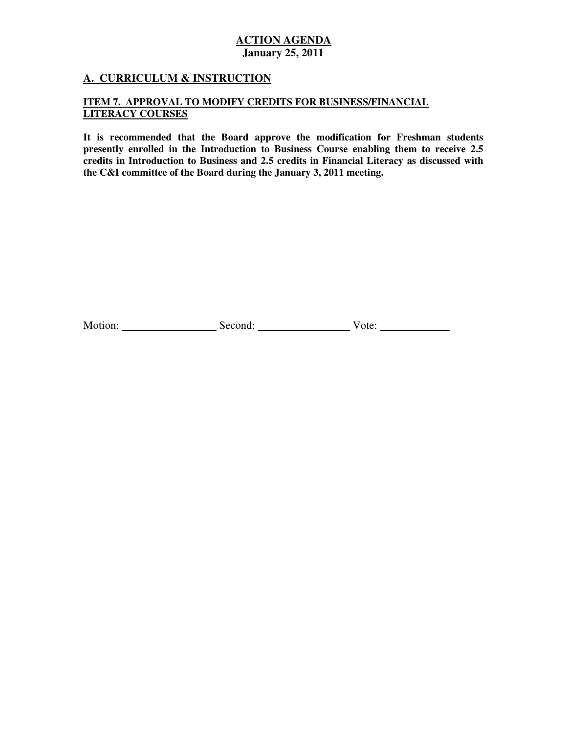## **A. CURRICULUM & INSTRUCTION**

#### **ITEM 7. APPROVAL TO MODIFY CREDITS FOR BUSINESS/FINANCIAL LITERACY COURSES**

 **LITERACY COURSES It is recommended that the Board approve the modification for Freshman students presently enrolled in the Introduction to Business Course enabling them to receive 2.5 credits in Introduction to Business and 2.5 credits in Financial Literacy as discussed with the C&I committee of the Board during the January 3, 2011 meeting.** 

Motion: Second: Second: Vote: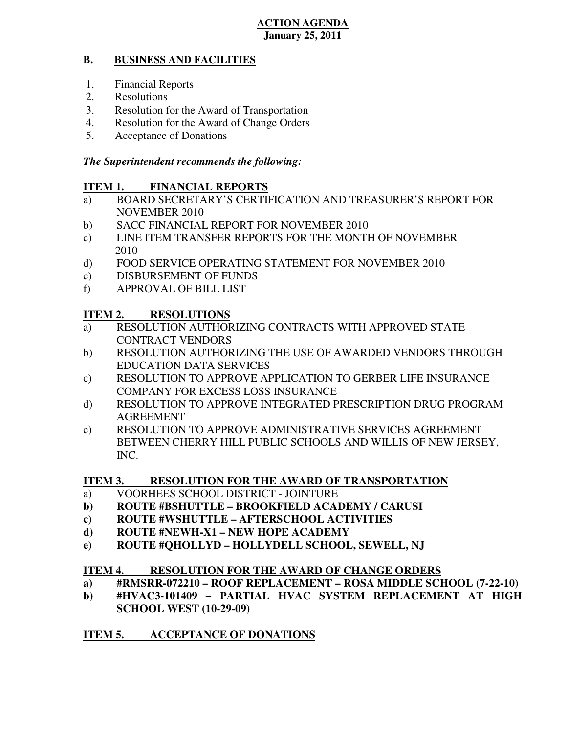#### **B. BUSINESS AND FACILITIES**

- 1. Financial Reports
- 2. Resolutions
- 3. Resolution for the Award of Transportation
- 4. Resolution for the Award of Change Orders
- 5. Acceptance of Donations

## *The Superintendent recommends the following:*

#### **ITEM 1. FINANCIAL REPORTS**

- a) BOARD SECRETARY'S CERTIFICATION AND TREASURER'S REPORT FOR NOVEMBER 2010
- b) SACC FINANCIAL REPORT FOR NOVEMBER 2010
- $\mathbf{c}$ ) LINE ITEM TRANSFER REPORTS FOR THE MONTH OF NOVEMBER 2010
- $\rm d)$ FOOD SERVICE OPERATING STATEMENT FOR NOVEMBER 2010
- e) DISBURSEMENT OF FUNDS
- f) APPROVAL OF BILL LIST

#### **ITEM 2. RESOLUTIONS**

- a) RESOLUTION AUTHORIZING CONTRACTS WITH APPROVED STATE CONTRACT VENDORS
- b) RESOLUTION AUTHORIZING THE USE OF AWARDED VENDORS THROUGH EDUCATION DATA SERVICES
- c) RESOLUTION TO APPROVE APPLICATION TO GERBER LIFE INSURANCE COMPANY FOR EXCESS LOSS INSURANCE
- d) RESOLUTION TO APPROVE INTEGRATED PRESCRIPTION DRUG PROGRAM AGREEMENT
- e) RESOLUTION TO APPROVE ADMINISTRATIVE SERVICES AGREEMENT BETWEEN CHERRY HILL PUBLIC SCHOOLS AND WILLIS OF NEW JERSEY, INC.

#### **ITEM 3. RESOLUTION FOR THE AWARD OF TRANSPORTATION**

- a) VOORHEES SCHOOL DISTRICT JOINTURE
- **b) ROUTE #BSHUTTLE BROOKFIELD ACADEMY / CARUSI**
- **c) ROUTE #WSHUTTLE AFTERSCHOOL ACTIVITIES**
- **d) ROUTE #NEWH-X1 NEW HOPE ACADEMY**
- **e) ROUTE #QHOLLYD HOLLYDELL SCHOOL, SEWELL, NJ**

#### **ITEM 4. RESOLUTION FOR THE AWARD OF CHANGE ORDERS**

- **a) #RMSRR-072210 ROOF REPLACEMENT ROSA MIDDLE SCHOOL (7-22-10)**
- **b) #HVAC3-101409 PARTIAL HVAC SYSTEM REPLACEMENT AT HIGH SCHOOL WEST (10-29-09)**

#### **ITEM 5. ACCEPTANCE OF DONATIONS**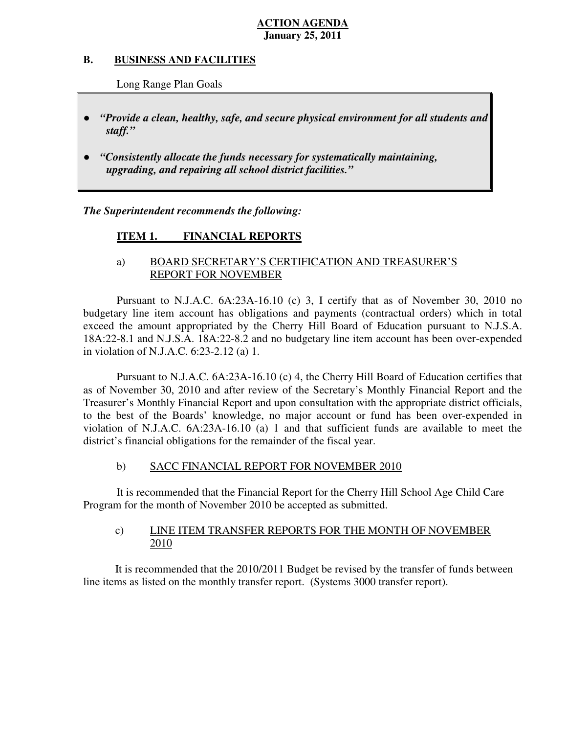#### **B. B. BUSINESS AND FACILITIES**

Long Range Plan Goals

- *"Provide a clean, healthy, safe, and secure physical environment for all students and staff."*
- *"Consistently allocate the funds necessary for systematically maintaining, upgrading, and repairing all school district facilities."*

 *The Superintendent recommends the following:* 

#### **ITEM 1. FINANCIAL REPORTS**

## a) BOARD SECRETARY'S CERTIFICATION AND TREASURER'S REPORT FOR NOVEMBER

 Pursuant to N.J.A.C. 6A:23A-16.10 (c) 3, I certify that as of November 30, 2010 no budgetary line item account has obligations and payments (contractual orders) which in total exceed the amount appropriated by the Cherry Hill Board of Education pursuant to N.J.S.A. 18A:22-8.1 and N.J.S.A. 18A:22-8.2 and no budgetary line item account has been over-expended in violation of N.J.A.C. 6:23-2.12 (a) 1.

 Pursuant to N.J.A.C. 6A:23A-16.10 (c) 4, the Cherry Hill Board of Education certifies that as of November 30, 2010 and after review of the Secretary's Monthly Financial Report and the Treasurer's Monthly Financial Report and upon consultation with the appropriate district officials, to the best of the Boards' knowledge, no major account or fund has been over-expended in violation of N.J.A.C. 6A:23A-16.10 (a) 1 and that sufficient funds are available to meet the district's financial obligations for the remainder of the fiscal year.

#### $b)$ SACC FINANCIAL REPORT FOR NOVEMBER 2010

 It is recommended that the Financial Report for the Cherry Hill School Age Child Care Program for the month of November 2010 be accepted as submitted.

#### $\mathbf{c})$ LINE ITEM TRANSFER REPORTS FOR THE MONTH OF NOVEMBER 2010

 It is recommended that the 2010/2011 Budget be revised by the transfer of funds between line items as listed on the monthly transfer report. (Systems 3000 transfer report).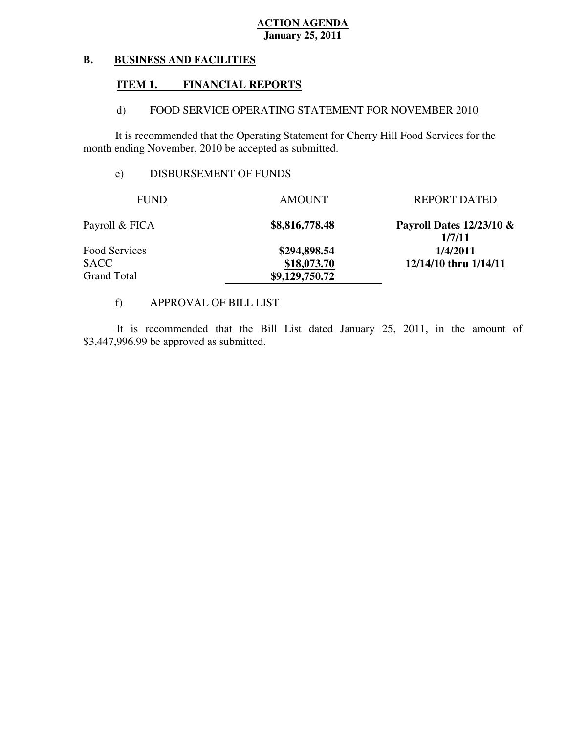#### **B. BUSINESS AND FACILITIES**

#### **ITEM 1. FINANCIAL REPORTS**

#### $\mathbf{d}$ FOOD SERVICE OPERATING STATEMENT FOR NOVEMBER 2010

 It is recommended that the Operating Statement for Cherry Hill Food Services for the month ending November, 2010 be accepted as submitted.

## e) DISBURSEMENT OF FUNDS

| <b>FUND</b>        | <b>AMOUNT</b>  | <b>REPORT DATED</b>                   |
|--------------------|----------------|---------------------------------------|
| Payroll & FICA     | \$8,816,778.48 | Payroll Dates $12/23/10 \&$<br>1/7/11 |
| Food Services      | \$294,898.54   | 1/4/2011                              |
| <b>SACC</b>        | \$18,073.70    | 12/14/10 thru 1/14/11                 |
| <b>Grand Total</b> | \$9,129,750.72 |                                       |

## f) APPROVAL OF BILL LIST

 \$3,447,996.99 be approved as submitted. It is recommended that the Bill List dated January 25, 2011, in the amount of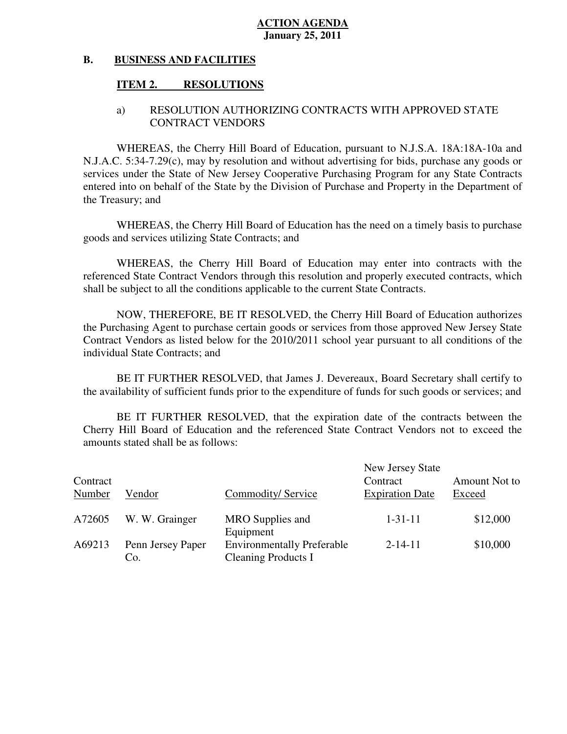#### **B. BUSINESS AND FACILITIES**

#### **ITEM 2. RESOLUTIONS**

## a) RESOLUTION AUTHORIZING CONTRACTS WITH APPROVED STATE CONTRACT VENDORS

 WHEREAS, the Cherry Hill Board of Education, pursuant to N.J.S.A. 18A:18A-10a and N.J.A.C. 5:34-7.29(c), may by resolution and without advertising for bids, purchase any goods or services under the State of New Jersey Cooperative Purchasing Program for any State Contracts entered into on behalf of the State by the Division of Purchase and Property in the Department of the Treasury; and

 WHEREAS, the Cherry Hill Board of Education has the need on a timely basis to purchase goods and services utilizing State Contracts; and

 WHEREAS, the Cherry Hill Board of Education may enter into contracts with the referenced State Contract Vendors through this resolution and properly executed contracts, which shall be subject to all the conditions applicable to the current State Contracts.

 NOW, THEREFORE, BE IT RESOLVED, the Cherry Hill Board of Education authorizes the Purchasing Agent to purchase certain goods or services from those approved New Jersey State Contract Vendors as listed below for the 2010/2011 school year pursuant to all conditions of the individual State Contracts; and

 the availability of sufficient funds prior to the expenditure of funds for such goods or services; and BE IT FURTHER RESOLVED, that James J. Devereaux, Board Secretary shall certify to

 Cherry Hill Board of Education and the referenced State Contract Vendors not to exceed the amounts stated shall be as follows: BE IT FURTHER RESOLVED, that the expiration date of the contracts between the

| Contract<br>Number | Vendor                   | Commodity/Service                                                            | New Jersey State<br>Contract<br><b>Expiration Date</b> | Amount Not to<br>Exceed |
|--------------------|--------------------------|------------------------------------------------------------------------------|--------------------------------------------------------|-------------------------|
| A72605             | W. W. Grainger           | MRO Supplies and                                                             | $1 - 31 - 11$                                          | \$12,000                |
| A69213             | Penn Jersey Paper<br>Co. | Equipment<br><b>Environmentally Preferable</b><br><b>Cleaning Products I</b> | $2 - 14 - 11$                                          | \$10,000                |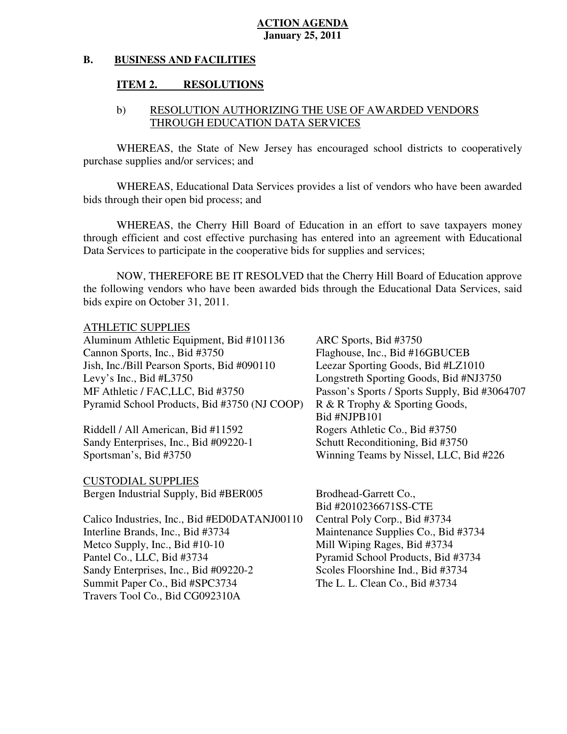#### **B. BUSINESS AND FACILITIES**

#### **ITEM 2. RESOLUTIONS**

## b) RESOLUTION AUTHORIZING THE USE OF AWARDED VENDORS THROUGH EDUCATION DATA SERVICES

 WHEREAS, the State of New Jersey has encouraged school districts to cooperatively purchase supplies and/or services; and

 WHEREAS, Educational Data Services provides a list of vendors who have been awarded bids through their open bid process; and

 WHEREAS, the Cherry Hill Board of Education in an effort to save taxpayers money through efficient and cost effective purchasing has entered into an agreement with Educational Data Services to participate in the cooperative bids for supplies and services;

 NOW, THEREFORE BE IT RESOLVED that the Cherry Hill Board of Education approve the following vendors who have been awarded bids through the Educational Data Services, said bids expire on October 31, 2011.

## ATHLETIC SUPPLIES

 Aluminum Athletic Equipment, Bid #101136 ARC Sports, Bid #3750 Cannon Sports, Inc., Bid #3750 Jish, Inc./Bill Pearson Sports, Bid #090110 Leezar Sporting Goods, Bid #LZ1010 Levy's Inc., Bid  $#L3750$ MF Athletic / FAC, LLC, Bid #3750 Pyramid School Products, Bid #3750 (NJ COOP) R & R Trophy & Sporting Goods,

Riddell / All American, Bid #11592 Rogers Athletic Co., Bid #3750 Sandy Enterprises, Inc., Bid #09220-1 Schutt Reconditioning, Bid #3750 Sportsman's, Bid #3750

 CUSTODIAL SUPPLIES Bergen Industrial Supply, Bid #BER005 Brodhead-Garrett Co.,

 Calico Industries, Inc., Bid #ED0DATANJ00110 Central Poly Corp., Bid #3734 Interline Brands, Inc., Bid #3734 Metco Supply, Inc., Bid #10-10 Mill Wiping Rages, Bid #3734 Pantel Co., LLC, Bid #3734 Sandy Enterprises, Inc., Bid #09220-2 Scoles Floorshine Ind., Bid #3734 Summit Paper Co., Bid #SPC3734 The L. L. Clean Co., Bid #3734 Travers Tool Co., Bid CG092310A

 Bid #NJPB101 Flaghouse, Inc., Bid #16GBUCEB Longstreth Sporting Goods, Bid #NJ3750 Passon's Sports / Sports Supply, Bid #3064707 Winning Teams by Nissel, LLC, Bid #226

Bid #2010236671SS-CTE Maintenance Supplies Co., Bid #3734 Pyramid School Products, Bid #3734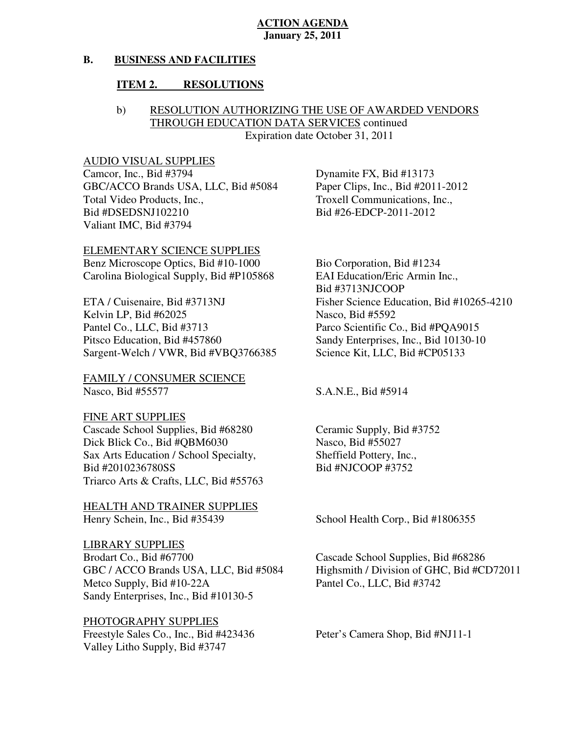#### **B. BUSINESS AND FACILITIES**

#### **ITEM 2. RESOLUTIONS**

## b) RESOLUTION AUTHORIZING THE USE OF AWARDED VENDORS THROUGH EDUCATION DATA SERVICES continued Expiration date October 31, 2011

### AUDIO VISUAL SUPPLIES

Camcor, Inc., Bid #3794 GBC/ACCO Brands USA, LLC, Bid #5084 Paper Clips, Inc., Bid #2011-2012 Total Video Products, Inc., Valiant IMC, Bid #3794 Bid #DSEDSNJ102210 Bid #26-EDCP-2011-2012

 ELEMENTARY SCIENCE SUPPLIES Benz Microscope Optics, Bid #10-1000 Bio Corporation, Bid #1234

ETA / Cuisenaire, Bid #3713NJ Kelvin LP, Bid #62025 Nasco, Bid #5592 Pantel Co., LLC, Bid #3713 Pitsco Education, Bid #457860 Sargent-Welch / VWR, Bid #VBQ3766385 Science Kit, LLC, Bid #CP05133

 FAMILY / CONSUMER SCIENCE Nasco, Bid #55577 S.A.N.E., Bid #5914

 FINE ART SUPPLIES Cascade School Supplies, Bid #68280 Ceramic Supply, Bid #3752 Dick Blick Co., Bid #QBM6030 Nasco, Bid #55027 Sax Arts Education / School Specialty, Sheffield Pottery, Inc., Bid #2010236780SS Bid #NJCOOP #3752 Triarco Arts & Crafts, LLC, Bid #55763

 HEALTH AND TRAINER SUPPLIES Henry Schein, Inc., Bid #35439

 LIBRARY SUPPLIES Brodart Co., Bid #67700 Metco Supply, Bid #10-22A Pantel Co., LLC, Bid #3742 Sandy Enterprises, Inc., Bid #10130-5

### PHOTOGRAPHY SUPPLIES

Freestyle Sales Co., Inc., Bid #423436 Peter's Camera Shop, Bid #NJ11-1 Valley Litho Supply, Bid #3747

Dynamite FX, Bid #13173 Troxell Communications, Inc.,

 Carolina Biological Supply, Bid #P105868 EAI Education/Eric Armin Inc., Bid #3713NJCOOP Fisher Science Education, Bid #10265-4210 Parco Scientific Co., Bid #PQA9015 Sandy Enterprises, Inc., Bid 10130-10

School Health Corp., Bid #1806355

GBC / ACCO Brands USA, LLC, Bid #5084 Highsmith / Division of GHC, Bid #CD72011 Cascade School Supplies, Bid #68286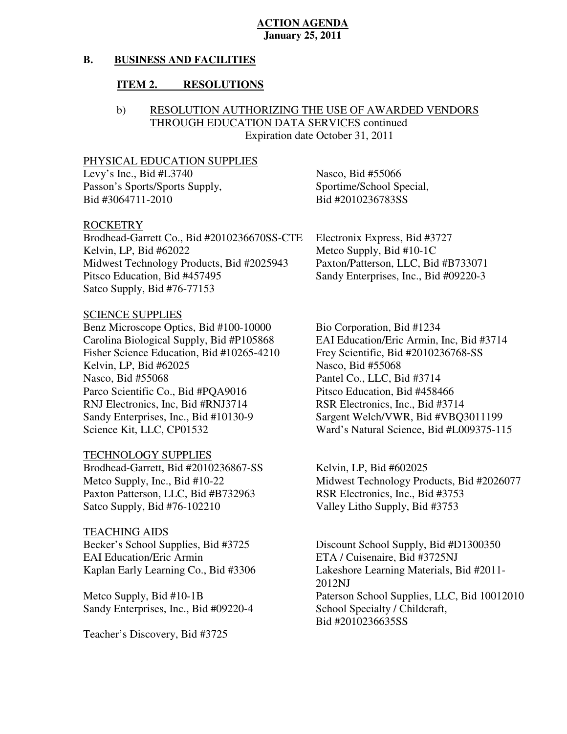#### **B. BUSINESS AND FACILITIES**

#### **ITEM 2. RESOLUTIONS**

## b) RESOLUTION AUTHORIZING THE USE OF AWARDED VENDORS THROUGH EDUCATION DATA SERVICES continued Expiration date October 31, 2011

#### PHYSICAL EDUCATION SUPPLIES

Levy's Inc., Bid #L3740 Nasco, Bid #55066 Passon's Sports/Sports Supply, Sportime/School Special, Bid #3064711-2010 Bid #2010236783SS

#### ROCKETRY

 Brodhead-Garrett Co., Bid #2010236670SS-CTE Electronix Express, Bid #3727 Kelvin, LP, Bid #62022 Midwest Technology Products, Bid #2025943 Paxton/Patterson, LLC, Bid #B733071 Pitsco Education, Bid #457495 Satco Supply, Bid #76-77153

## SCIENCE SUPPLIES

Benz Microscope Optics, Bid #100-10000 Bio Corporation, Bid #1234 Carolina Biological Supply, Bid #P105868 Fisher Science Education, Bid #10265-4210 Frey Scientific, Bid #2010236768-SS Kelvin, LP, Bid #62025 Nasco, Bid #55068 Nasco, Bid #55068 Parco Scientific Co., Bid #PQA9016 Pitsco Education, Bid #458466 RNJ Electronics, Inc, Bid #RNJ3714 RSR Electronics, Inc., Bid #3714 Sandy Enterprises, Inc., Bid #10130-9 Science Kit, LLC, CP01532

### TECHNOLOGY SUPPLIES

Brodhead-Garrett, Bid #2010236867-SS Kelvin, LP, Bid #602025 Metco Supply, Inc., Bid #10-22 Paxton Patterson, LLC, Bid #B732963 RSR Electronics, Inc., Bid #3753 Satco Supply, Bid #76-102210

#### TEACHING AIDS

Becker's School Supplies, Bid #3725 **EAI** Education/Eric Armin Kaplan Early Learning Co., Bid #3306

Metco Supply, Bid #10-1B Sandy Enterprises, Inc., Bid #09220-4 School Specialty / Childcraft,

Teacher's Discovery, Bid #3725

Metco Supply, Bid  $#10-1C$ Sandy Enterprises, Inc., Bid #09220-3

EAI Education/Eric Armin, Inc, Bid #3714 Pantel Co., LLC, Bid #3714 Sargent Welch/VWR, Bid #VBQ3011199 Ward's Natural Science, Bid #L009375-115

Midwest Technology Products, Bid #2026077 Valley Litho Supply, Bid #3753

Discount School Supply, Bid #D1300350 ETA / Cuisenaire, Bid #3725NJ Lakeshore Learning Materials, Bid #2011-2012NJ Paterson School Supplies, LLC, Bid 10012010 Bid #2010236635SS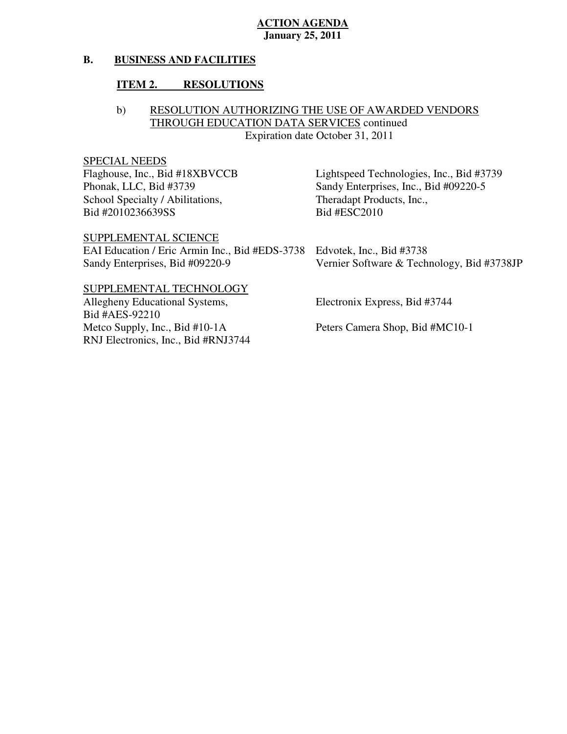#### **B. BUSINESS AND FACILITIES**

#### **ITEM 2. RESOLUTIONS**

## b) RESOLUTION AUTHORIZING THE USE OF AWARDED VENDORS THROUGH EDUCATION DATA SERVICES continued Expiration date October 31, 2011

## SPECIAL NEEDS

Flaghouse, Inc., Bid #18XBVCCB Phonak, LLC, Bid #3739 School Specialty / Abilitations, Theradapt Products, Inc., Bid #2010236639SS

Bid #ESC2010 Lightspeed Technologies, Inc., Bid #3739 Sandy Enterprises, Inc., Bid #09220-5

SUPPLEMENTAL SCIENCE

 EAI Education / Eric Armin Inc., Bid #EDS-3738 Edvotek, Inc., Bid #3738 Sandy Enterprises, Bid #09220-9 Vernier Software & Technology, Bid #3738JP

#### SUPPLEMENTAL TECHNOLOGY

Allegheny Educational Systems, Metco Supply, Inc., Bid #10-1A RNJ Electronics, Inc., Bid #RNJ3744 Bid #AES-92210

Allegheny Educational Systems, Electronix Express, Bid #3744

Peters Camera Shop, Bid #MC10-1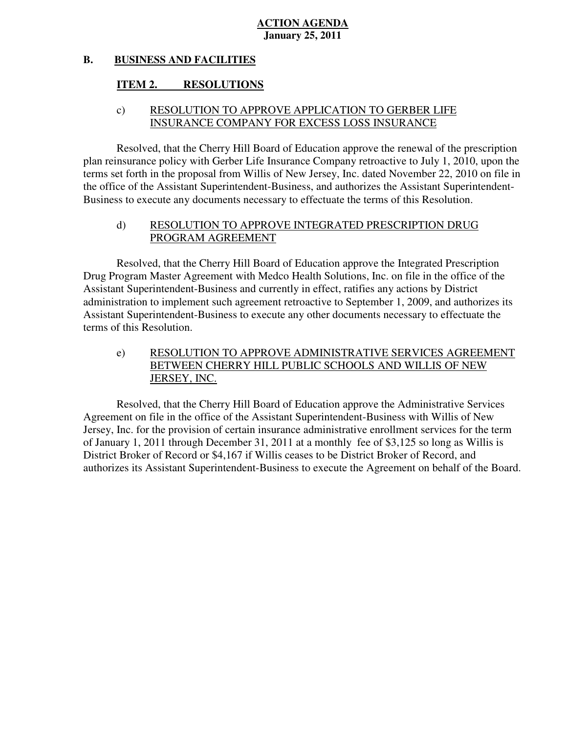#### **B. BUSINESS AND FACILITIES**

#### **ITEM 2. RESOLUTIONS**

## c) RESOLUTION TO APPROVE APPLICATION TO GERBER LIFE INSURANCE COMPANY FOR EXCESS LOSS INSURANCE

 Resolved, that the Cherry Hill Board of Education approve the renewal of the prescription plan reinsurance policy with Gerber Life Insurance Company retroactive to July 1, 2010, upon the terms set forth in the proposal from Willis of New Jersey, Inc. dated November 22, 2010 on file in the office of the Assistant Superintendent-Business, and authorizes the Assistant Superintendent-Business to execute any documents necessary to effectuate the terms of this Resolution.

## d) RESOLUTION TO APPROVE INTEGRATED PRESCRIPTION DRUG PROGRAM AGREEMENT

 Resolved, that the Cherry Hill Board of Education approve the Integrated Prescription Drug Program Master Agreement with Medco Health Solutions, Inc. on file in the office of the Assistant Superintendent-Business and currently in effect, ratifies any actions by District administration to implement such agreement retroactive to September 1, 2009, and authorizes its terms of this Resolution. Assistant Superintendent-Business to execute any other documents necessary to effectuate the

e) RESOLUTION TO APPROVE ADMINISTRATIVE SERVICES AGREEMENT BETWEEN CHERRY HILL PUBLIC SCHOOLS AND WILLIS OF NEW JERSEY, INC.

 Resolved, that the Cherry Hill Board of Education approve the Administrative Services Agreement on file in the office of the Assistant Superintendent-Business with Willis of New Jersey, Inc. for the provision of certain insurance administrative enrollment services for the term of January 1, 2011 through December 31, 2011 at a monthly fee of \$3,125 so long as Willis is District Broker of Record or \$4,167 if Willis ceases to be District Broker of Record, and authorizes its Assistant Superintendent-Business to execute the Agreement on behalf of the Board.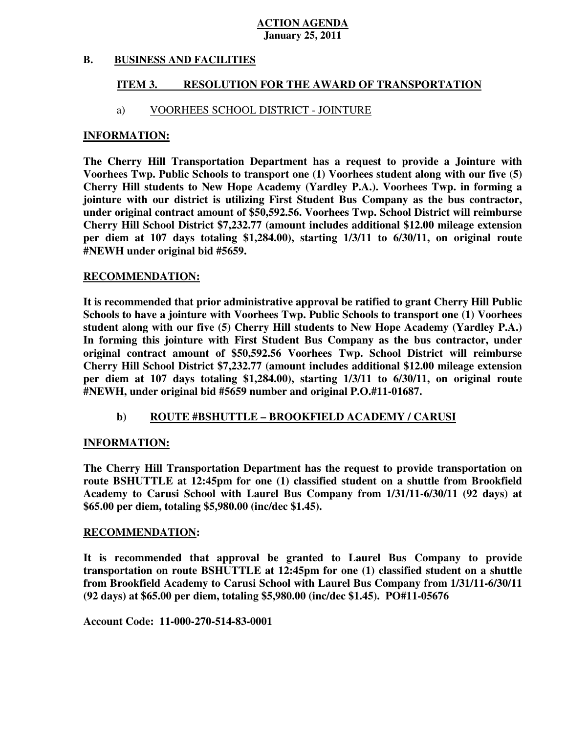#### **B. B. BUSINESS AND FACILITIES**

#### **ITEM 3. RESOLUTION FOR THE AWARD OF TRANSPORTATION**

## a) VOORHEES SCHOOL DISTRICT - JOINTURE

#### **INFORMATION:**

 **The Cherry Hill Transportation Department has a request to provide a Jointure with Voorhees Twp. Public Schools to transport one (1) Voorhees student along with our five (5) Cherry Hill students to New Hope Academy (Yardley P.A.). Voorhees Twp. in forming a jointure with our district is utilizing First Student Bus Company as the bus contractor, under original contract amount of \$50,592.56. Voorhees Twp. School District will reimburse Cherry Hill School District \$7,232.77 (amount includes additional \$12.00 mileage extension per diem at 107 days totaling \$1,284.00), starting 1/3/11 to 6/30/11, on original route #NEWH under original bid #5659.** 

#### **RECOMMENDATION:**

 **RECOMMENDATION: It is recommended that prior administrative approval be ratified to grant Cherry Hill Public Schools to have a jointure with Voorhees Twp. Public Schools to transport one (1) Voorhees student along with our five (5) Cherry Hill students to New Hope Academy (Yardley P.A.) In forming this jointure with First Student Bus Company as the bus contractor, under original contract amount of \$50,592.56 Voorhees Twp. School District will reimburse Cherry Hill School District \$7,232.77 (amount includes additional \$12.00 mileage extension per diem at 107 days totaling \$1,284.00), starting 1/3/11 to 6/30/11, on original route #NEWH, under original bid #5659 number and original P.O.#11-01687.** 

## **b)** ROUTE #BSHUTTLE – BROOKFIELD ACADEMY / CARUSI

## **INFORMATION:**

 **The Cherry Hill Transportation Department has the request to provide transportation on route BSHUTTLE at 12:45pm for one (1) classified student on a shuttle from Brookfield Academy to Carusi School with Laurel Bus Company from 1/31/11-6/30/11 (92 days) at \$65.00 per diem, totaling \$5,980.00 (inc/dec \$1.45).** 

#### **RECOMMENDATION:**

 **It is recommended that approval be granted to Laurel Bus Company to provide transportation on route BSHUTTLE at 12:45pm for one (1) classified student on a shuttle from Brookfield Academy to Carusi School with Laurel Bus Company from 1/31/11-6/30/11 (92 days) at \$65.00 per diem, totaling \$5,980.00 (inc/dec \$1.45). PO#11-05676** 

 **Account Code: 11-000-270-514-83-0001**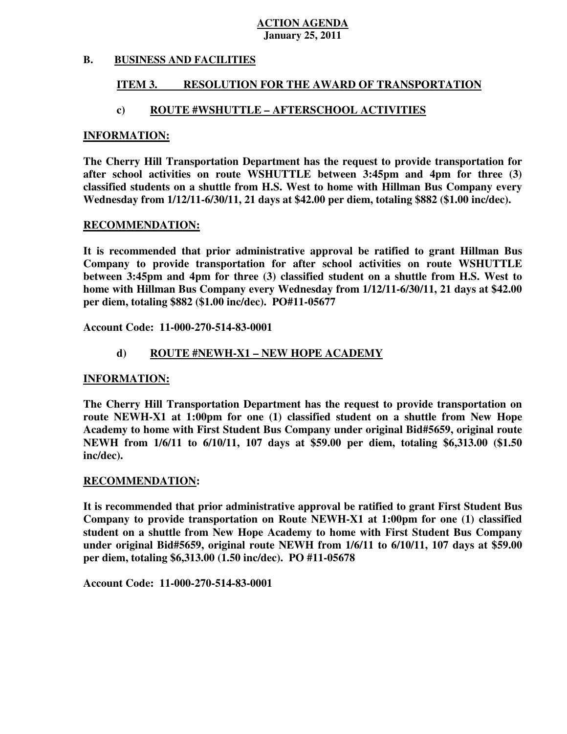#### **B. B. BUSINESS AND FACILITIES**

#### **ITEM 3. RESOLUTION FOR THE AWARD OF TRANSPORTATION**

## **c) ROUTE #WSHUTTLE – AFTERSCHOOL ACTIVITIES**

#### **INFORMATION:**

 **The Cherry Hill Transportation Department has the request to provide transportation for after school activities on route WSHUTTLE between 3:45pm and 4pm for three (3) classified students on a shuttle from H.S. West to home with Hillman Bus Company every Wednesday from 1/12/11-6/30/11, 21 days at \$42.00 per diem, totaling \$882 (\$1.00 inc/dec).** 

#### **RECOMMENDATION:**

 **It is recommended that prior administrative approval be ratified to grant Hillman Bus Company to provide transportation for after school activities on route WSHUTTLE between 3:45pm and 4pm for three (3) classified student on a shuttle from H.S. West to home with Hillman Bus Company every Wednesday from 1/12/11-6/30/11, 21 days at \$42.00 per diem, totaling \$882 (\$1.00 inc/dec). PO#11-05677** 

 **Account Code: 11-000-270-514-83-0001** 

## **d) ROUTE #NEWH-X1 – NEW HOPE ACADEMY**

#### **INFORMATION:**

 **The Cherry Hill Transportation Department has the request to provide transportation on route NEWH-X1 at 1:00pm for one (1) classified student on a shuttle from New Hope Academy to home with First Student Bus Company under original Bid#5659, original route NEWH from 1/6/11 to 6/10/11, 107 days at \$59.00 per diem, totaling \$6,313.00 (\$1.50 inc/dec).** 

#### **RECOMMENDATION:**

 **It is recommended that prior administrative approval be ratified to grant First Student Bus Company to provide transportation on Route NEWH-X1 at 1:00pm for one (1) classified student on a shuttle from New Hope Academy to home with First Student Bus Company under original Bid#5659, original route NEWH from 1/6/11 to 6/10/11, 107 days at \$59.00 per diem, totaling \$6,313.00 (1.50 inc/dec). PO #11-05678** 

 **Account Code: 11-000-270-514-83-0001**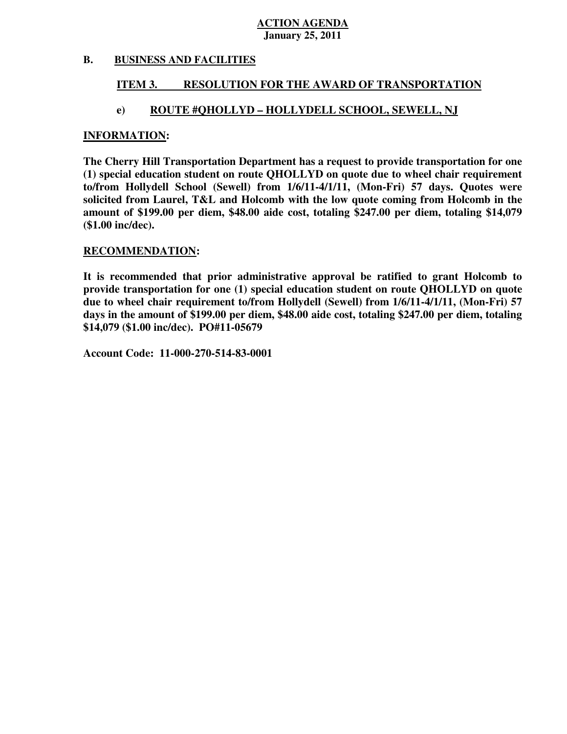#### **B. B. BUSINESS AND FACILITIES**

#### **ITEM 3. RESOLUTION FOR THE AWARD OF TRANSPORTATION**

## **e) ROUTE #QHOLLYD – HOLLYDELL SCHOOL, SEWELL, NJ**

#### **INFORMATION:**

 **The Cherry Hill Transportation Department has a request to provide transportation for one (1) special education student on route QHOLLYD on quote due to wheel chair requirement to/from Hollydell School (Sewell) from 1/6/11-4/1/11, (Mon-Fri) 57 days. Quotes were solicited from Laurel, T&L and Holcomb with the low quote coming from Holcomb in the amount of \$199.00 per diem, \$48.00 aide cost, totaling \$247.00 per diem, totaling \$14,079 (\$1.00 inc/dec).** 

#### **RECOMMENDATION:**

 **It is recommended that prior administrative approval be ratified to grant Holcomb to provide transportation for one (1) special education student on route QHOLLYD on quote due to wheel chair requirement to/from Hollydell (Sewell) from 1/6/11-4/1/11, (Mon-Fri) 57 days in the amount of \$199.00 per diem, \$48.00 aide cost, totaling \$247.00 per diem, totaling \$14,079 (\$1.00 inc/dec). PO#11-05679** 

 **Account Code: 11-000-270-514-83-0001**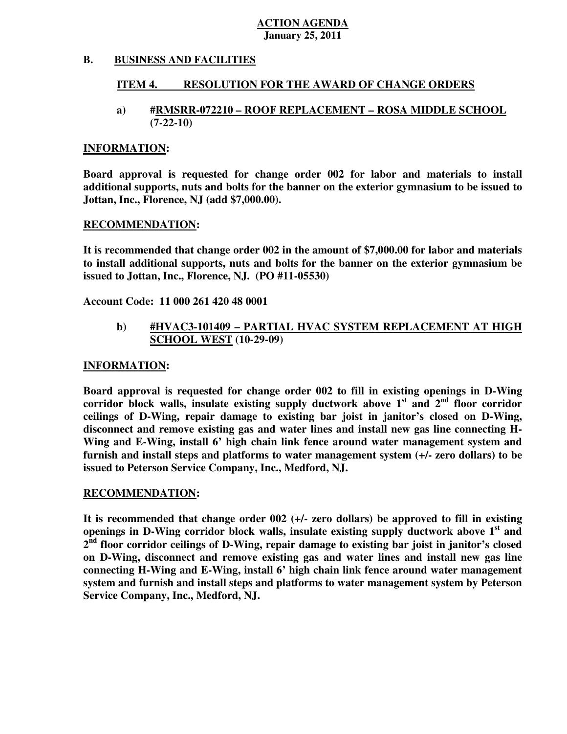#### **B. B. BUSINESS AND FACILITIES**

#### **ITEM 4. RESOLUTION FOR THE AWARD OF CHANGE ORDERS**

#### **a) #RMSRR-072210 – ROOF REPLACEMENT – ROSA MIDDLE SCHOOL (7-22-10)**

#### **INFORMATION:**

 **Board approval is requested for change order 002 for labor and materials to install additional supports, nuts and bolts for the banner on the exterior gymnasium to be issued to Jottan, Inc., Florence, NJ (add \$7,000.00).** 

#### **RECOMMENDATION:**

 **It is recommended that change order 002 in the amount of \$7,000.00 for labor and materials to install additional supports, nuts and bolts for the banner on the exterior gymnasium be issued to Jottan, Inc., Florence, NJ. (PO #11-05530)** 

 **Account Code: 11 000 261 420 48 0001** 

## **b) #HVAC3-101409 – PARTIAL HVAC SYSTEM REPLACEMENT AT HIGH SCHOOL WEST (10-29-09)**

#### **INFORMATION:**

 **Board approval is requested for change order 002 to fill in existing openings in D-Wing**  corridor block walls, insulate existing supply ductwork above 1<sup>st</sup> and 2<sup>nd</sup> floor corridor  **ceilings of D-Wing, repair damage to existing bar joist in janitor's closed on D-Wing, disconnect and remove existing gas and water lines and install new gas line connecting H-**Wing and E-Wing, install 6' high chain link fence around water management system and  **furnish and install steps and platforms to water management system (+/- zero dollars) to be issued to Peterson Service Company, Inc., Medford, NJ.** 

#### **RECOMMENDATION:**

 **It is recommended that change order 002 (+/- zero dollars) be approved to fill in existing openings in D-Wing corridor block walls, insulate existing supply ductwork above 1st and 2nd floor corridor ceilings of D-Wing, repair damage to existing bar joist in janitor's closed on D-Wing, disconnect and remove existing gas and water lines and install new gas line connecting H-Wing and E-Wing, install 6' high chain link fence around water management system and furnish and install steps and platforms to water management system by Peterson Service Company, Inc., Medford, NJ.**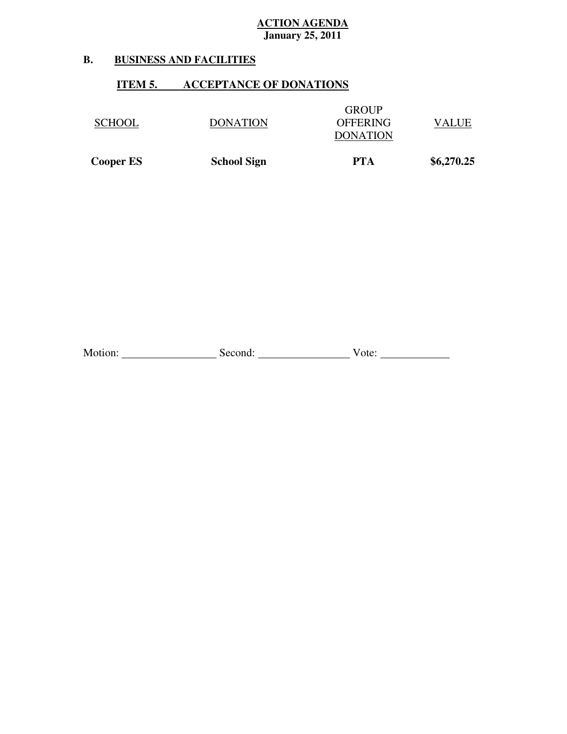#### **B. B. BUSINESS AND FACILITIES**

## **ITEM 5. ACCEPTANCE OF DONATIONS**

| <b>Cooper ES</b> | <b>School Sign</b> | PTA                                                | \$6,270.25 |
|------------------|--------------------|----------------------------------------------------|------------|
| <b>SCHOOL</b>    | <b>DONATION</b>    | <b>GROUP</b><br><b>OFFERING</b><br><b>DONATION</b> | VALUE      |

Motion: <u>Conserver Communications</u> Second: Communications Conserver Vote: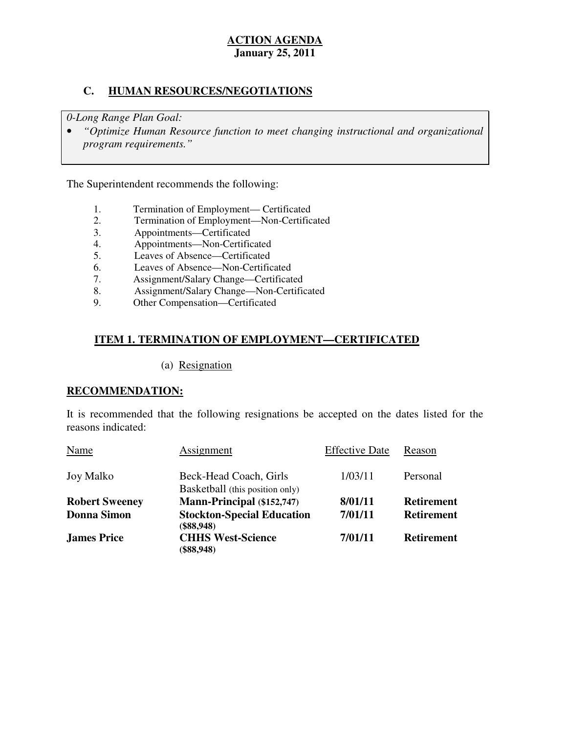## **C. HUMAN RESOURCES/NEGOTIATIONS**

 *0-Long Range Plan Goal:* 

**•** "Optimize Human Resource function to meet changing instructional and organizational *program requirements."* 

The Superintendent recommends the following:

- 1. Termination of Employment— Certificated<br>2. Termination of Employment—Non-Certific
- 2. Termination of Employment—Non-Certificated
- 3. Appointments—Certificated
- 4. Appointments—Non-Certificated
- 5. Leaves of Absence—Certificated
- 6. Leaves of Absence—Non-Certificated
- 7. Assignment/Salary Change—Certificated
- 8. Assignment/Salary Change—Non-Certificated<br>9. Other Compensation—Certificated
- Other Compensation—Certificated

## **ITEM 1. TERMINATION OF EMPLOYMENT—CERTIFICATED**

### (a) Resignation

## **RECOMMENDATION:**

 It is recommended that the following resignations be accepted on the dates listed for the reasons indicated:

| Name                  | Assignment                                                | <b>Effective Date</b> | Reason            |
|-----------------------|-----------------------------------------------------------|-----------------------|-------------------|
| Joy Malko             | Beck-Head Coach, Girls<br>Basketball (this position only) | 1/03/11               | Personal          |
| <b>Robert Sweeney</b> | Mann-Principal (\$152,747)                                | 8/01/11               | <b>Retirement</b> |
| <b>Donna Simon</b>    | <b>Stockton-Special Education</b><br>$(\$88,948)$         | 7/01/11               | <b>Retirement</b> |
| <b>James Price</b>    | <b>CHHS West-Science</b><br>$(\$88,948)$                  | 7/01/11               | <b>Retirement</b> |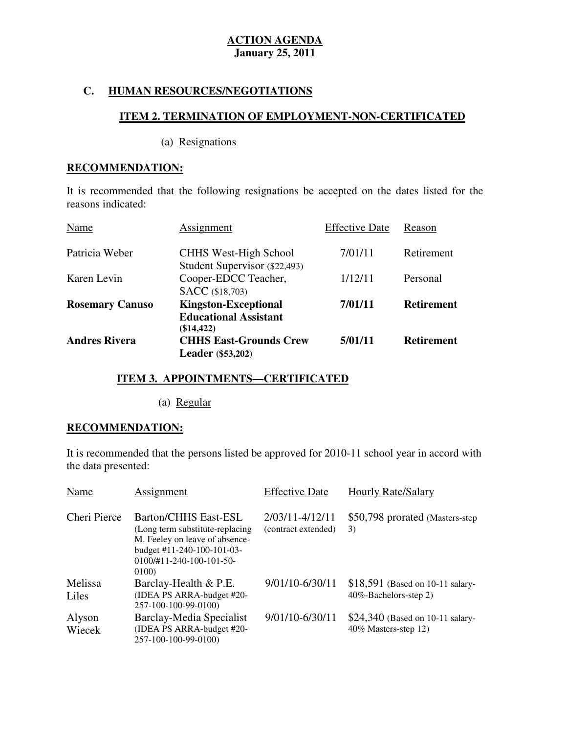## **C. HUMAN RESOURCES/NEGOTIATIONS**

# **ITEM 2. TERMINATION OF EMPLOYMENT-NON-CERTIFICATED**

(a) Resignations

### **RECOMMENDATION:**

 It is recommended that the following resignations be accepted on the dates listed for the reasons indicated:

| Name                   | Assignment                                                                | <b>Effective Date</b> | Reason            |
|------------------------|---------------------------------------------------------------------------|-----------------------|-------------------|
| Patricia Weber         | <b>CHHS West-High School</b><br>Student Supervisor (\$22,493)             | 7/01/11               | Retirement        |
| Karen Levin            | Cooper-EDCC Teacher,<br><b>SACC</b> (\$18,703)                            | 1/12/11               | Personal          |
| <b>Rosemary Canuso</b> | <b>Kingston-Exceptional</b><br><b>Educational Assistant</b><br>(\$14,422) | 7/01/11               | <b>Retirement</b> |
| <b>Andres Rivera</b>   | <b>CHHS East-Grounds Crew</b><br><b>Leader</b> (\$53,202)                 | 5/01/11               | <b>Retirement</b> |

## **ITEM 3. APPOINTMENTS—CERTIFICATED**

(a) Regular

## **RECOMMENDATION:**

 It is recommended that the persons listed be approved for 2010-11 school year in accord with the data presented:

| Name             | Assignment                                                                                                                                                                         | <b>Effective Date</b>                  | <b>Hourly Rate/Salary</b>                                  |
|------------------|------------------------------------------------------------------------------------------------------------------------------------------------------------------------------------|----------------------------------------|------------------------------------------------------------|
| Cheri Pierce     | <b>Barton/CHHS East-ESL</b><br>(Long term substitute-replacing<br>M. Feeley on leave of absence-<br>budget #11-240-100-101-03-<br>$0100 \div 11 - 240 - 100 - 101 - 50 -$<br>0100) | 2/03/11-4/12/11<br>(contract extended) | \$50,798 prorated (Masters-step)<br>3)                     |
| Melissa<br>Liles | Barclay-Health & P.E.<br>(IDEA PS ARRA-budget #20-<br>257-100-100-99-0100)                                                                                                         | 9/01/10-6/30/11                        | $$18,591$ (Based on 10-11 salary-<br>40%-Bachelors-step 2) |
| Alyson<br>Wiecek | <b>Barclay-Media Specialist</b><br>(IDEA PS ARRA-budget #20-<br>257-100-100-99-0100)                                                                                               | 9/01/10-6/30/11                        | $$24,340$ (Based on 10-11 salary-<br>40% Masters-step 12)  |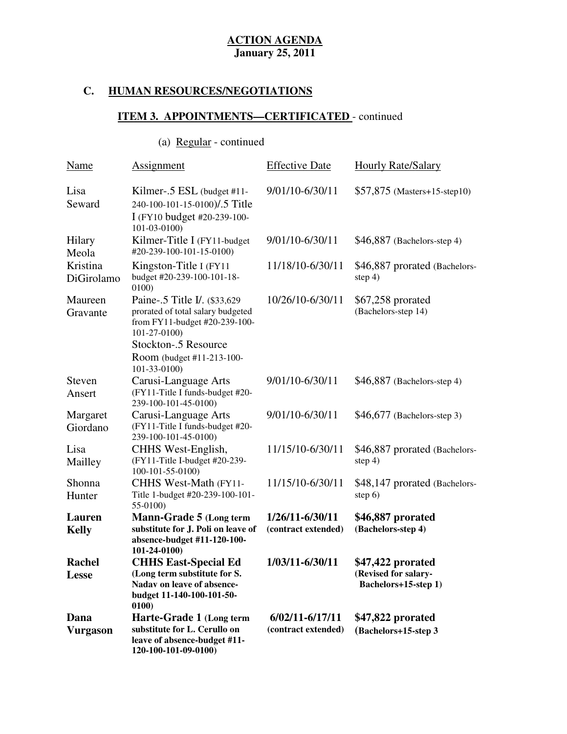## **C. HUMAN RESOURCES/NEGOTIATIONS**

## **ITEM 3. APPOINTMENTS—CERTIFICATED** - continued

# (a) Regular - continued

| Name                    | Assignment                                                                                                                                       | <b>Effective Date</b>                  | <b>Hourly Rate/Salary</b>                                         |
|-------------------------|--------------------------------------------------------------------------------------------------------------------------------------------------|----------------------------------------|-------------------------------------------------------------------|
| Lisa<br>Seward          | Kilmer-.5 ESL (budget #11-<br>240-100-101-15-0100)/.5 Title<br>I (FY10 budget #20-239-100-<br>$101 - 03 - 0100$                                  | 9/01/10-6/30/11                        | $$57,875$ (Masters+15-step10)                                     |
| Hilary<br>Meola         | Kilmer-Title I (FY11-budget<br>#20-239-100-101-15-0100)                                                                                          | 9/01/10-6/30/11                        | $$46,887$ (Bachelors-step 4)                                      |
| Kristina<br>DiGirolamo  | Kingston-Title I (FY11)<br>budget #20-239-100-101-18-<br>0100)                                                                                   | 11/18/10-6/30/11                       | \$46,887 prorated (Bachelors-<br>step $4)$                        |
| Maureen<br>Gravante     | Paine-.5 Title I/. (\$33,629)<br>prorated of total salary budgeted<br>from FY11-budget #20-239-100-<br>$101 - 27 - 0100$<br>Stockton-.5 Resource | 10/26/10-6/30/11                       | \$67,258 prorated<br>(Bachelors-step 14)                          |
|                         | Room (budget #11-213-100-<br>$101-33-0100$                                                                                                       |                                        |                                                                   |
| Steven<br>Ansert        | Carusi-Language Arts<br>(FY11-Title I funds-budget #20-<br>239-100-101-45-0100)                                                                  | 9/01/10-6/30/11                        | $$46,887$ (Bachelors-step 4)                                      |
| Margaret<br>Giordano    | Carusi-Language Arts<br>(FY11-Title I funds-budget #20-<br>239-100-101-45-0100)                                                                  | 9/01/10-6/30/11                        | \$46,677 (Bachelors-step 3)                                       |
| Lisa<br>Mailley         | CHHS West-English,<br>(FY11-Title I-budget #20-239-<br>100-101-55-0100)                                                                          | 11/15/10-6/30/11                       | \$46,887 prorated (Bachelors-<br>step $4)$                        |
| Shonna<br>Hunter        | CHHS West-Math (FY11-<br>Title 1-budget #20-239-100-101-<br>55-0100)                                                                             | 11/15/10-6/30/11                       | \$48,147 prorated (Bachelors-<br>step $6)$                        |
| Lauren<br><b>Kelly</b>  | Mann-Grade 5 (Long term<br>substitute for J. Poli on leave of<br>absence-budget #11-120-100-<br>101-24-0100)                                     | 1/26/11-6/30/11<br>(contract extended) | \$46,887 prorated<br>(Bachelors-step 4)                           |
| <b>Rachel</b><br>Lesse  | <b>CHHS East-Special Ed</b><br>(Long term substitute for S.<br>Nadav on leave of absence-<br>budget 11-140-100-101-50-<br>0100)                  | 1/03/11-6/30/11                        | \$47,422 prorated<br>(Revised for salary-<br>Bachelors+15-step 1) |
| Dana<br><b>Vurgason</b> | Harte-Grade 1 (Long term<br>substitute for L. Cerullo on<br>leave of absence-budget #11-<br>120-100-101-09-0100)                                 | 6/02/11-6/17/11<br>(contract extended) | \$47,822 prorated<br>(Bachelors+15-step 3)                        |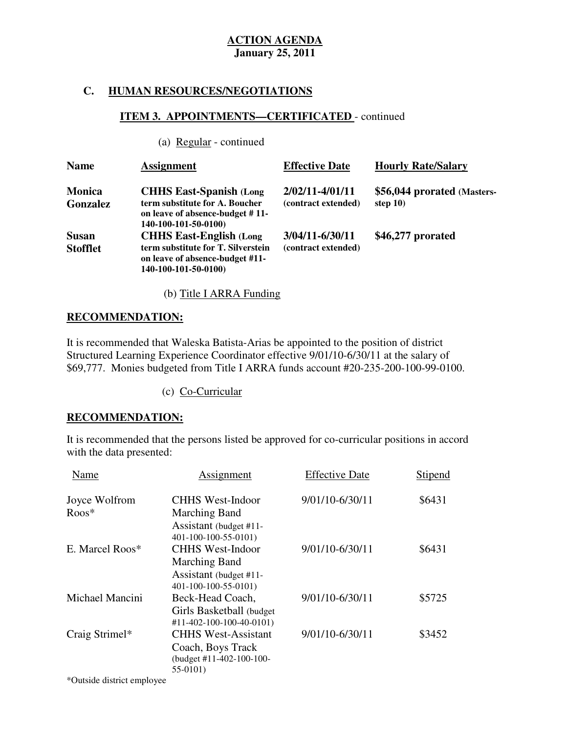## **C. HUMAN RESOURCES/NEGOTIATIONS**

## **ITEM 3. APPOINTMENTS—CERTIFICATED** - continued

(a) Regular - continued

| <b>Name</b>                     | <b>Assignment</b>                                                                                                                | <b>Effective Date</b>                  | <b>Hourly Rate/Salary</b>                  |
|---------------------------------|----------------------------------------------------------------------------------------------------------------------------------|----------------------------------------|--------------------------------------------|
| <b>Monica</b><br>Gonzalez       | <b>CHHS East-Spanish (Long)</b><br>term substitute for A. Boucher<br>on leave of absence-budget #11-<br>140-100-101-50-0100)     | 2/02/11-4/01/11<br>(contract extended) | \$56,044 prorated (Masters-<br>step $10$ ) |
| <b>Susan</b><br><b>Stofflet</b> | <b>CHHS East-English (Long)</b><br>term substitute for T. Silverstein<br>on leave of absence-budget #11-<br>140-100-101-50-0100) | 3/04/11-6/30/11<br>(contract extended) | \$46,277 prorated                          |

(b) Title I ARRA Funding

## **RECOMMENDATION:**

 It is recommended that Waleska Batista-Arias be appointed to the position of district Structured Learning Experience Coordinator effective 9/01/10-6/30/11 at the salary of \$69,777. Monies budgeted from Title I ARRA funds account #20-235-200-100-99-0100.

(c) Co-Curricular

## **RECOMMENDATION:**

 It is recommended that the persons listed be approved for co-curricular positions in accord with the data presented:

| Name            | Assignment                                                                              | <b>Effective Date</b> | Stipend |
|-----------------|-----------------------------------------------------------------------------------------|-----------------------|---------|
| Joyce Wolfrom   | <b>CHHS West-Indoor</b>                                                                 | 9/01/10-6/30/11       | \$6431  |
| $R$ oos*        | Marching Band<br>Assistant (budget #11-<br>401-100-100-55-0101)                         |                       |         |
| E. Marcel Roos* | <b>CHHS West-Indoor</b>                                                                 | 9/01/10-6/30/11       | \$6431  |
|                 | <b>Marching Band</b><br>Assistant (budget #11-<br>401-100-100-55-0101)                  |                       |         |
| Michael Mancini | Beck-Head Coach,<br>Girls Basketball (budget<br>#11-402-100-100-40-0101)                | 9/01/10-6/30/11       | \$5725  |
| Craig Strimel*  | <b>CHHS West-Assistant</b><br>Coach, Boys Track<br>(budget #11-402-100-100-<br>55-0101) | 9/01/10-6/30/11       | \$3452  |

\*Outside district employee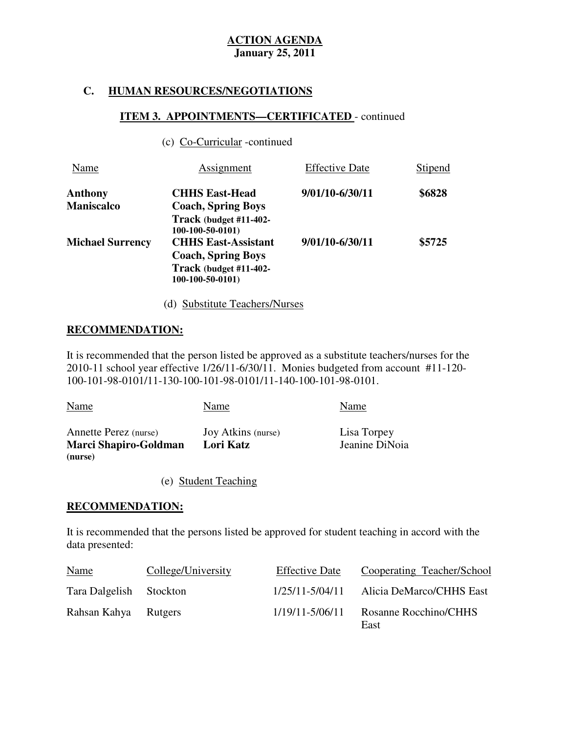## **C. HUMAN RESOURCES/NEGOTIATIONS**

## **ITEM 3. APPOINTMENTS—CERTIFICATED** - continued

|  | (c) Co-Curricular -continued |  |
|--|------------------------------|--|
|--|------------------------------|--|

| Name                    | Assignment                 | <b>Effective Date</b> | Stipend |
|-------------------------|----------------------------|-----------------------|---------|
| Anthony                 | <b>CHHS East-Head</b>      | 9/01/10-6/30/11       | \$6828  |
| <b>Maniscalco</b>       | <b>Coach, Spring Boys</b>  |                       |         |
|                         | Track (budget #11-402-     |                       |         |
|                         | $100-100-50-0101$          |                       |         |
| <b>Michael Surrency</b> | <b>CHHS East-Assistant</b> | 9/01/10-6/30/11       | \$5725  |
|                         | <b>Coach, Spring Boys</b>  |                       |         |
|                         | Track (budget #11-402-     |                       |         |
|                         | $100-100-50-0101$          |                       |         |
|                         |                            |                       |         |

(d) Substitute Teachers/Nurses

## **RECOMMENDATION:**

 It is recommended that the person listed be approved as a substitute teachers/nurses for the 2010-11 school year effective 1/26/11-6/30/11. Monies budgeted from account #11-120 100-101-98-0101/11-130-100-101-98-0101/11-140-100-101-98-0101.

| <b>Name</b>                                           | Name                            | Name                          |
|-------------------------------------------------------|---------------------------------|-------------------------------|
| Annette Perez (nurse)<br><b>Marci Shapiro-Goldman</b> | Joy Atkins (nurse)<br>Lori Katz | Lisa Torpey<br>Jeanine DiNoia |
| (nurse)                                               |                                 |                               |

(e) Student Teaching

## **RECOMMENDATION:**

 It is recommended that the persons listed be approved for student teaching in accord with the data presented:

| <b>Name</b>             | College/University | <b>Effective Date</b> | Cooperating Teacher/School    |
|-------------------------|--------------------|-----------------------|-------------------------------|
| Tara Dalgelish Stockton |                    | 1/25/11-5/04/11       | Alicia DeMarco/CHHS East      |
| Rahsan Kahya Rutgers    |                    | $1/19/11 - 5/06/11$   | Rosanne Rocchino/CHHS<br>East |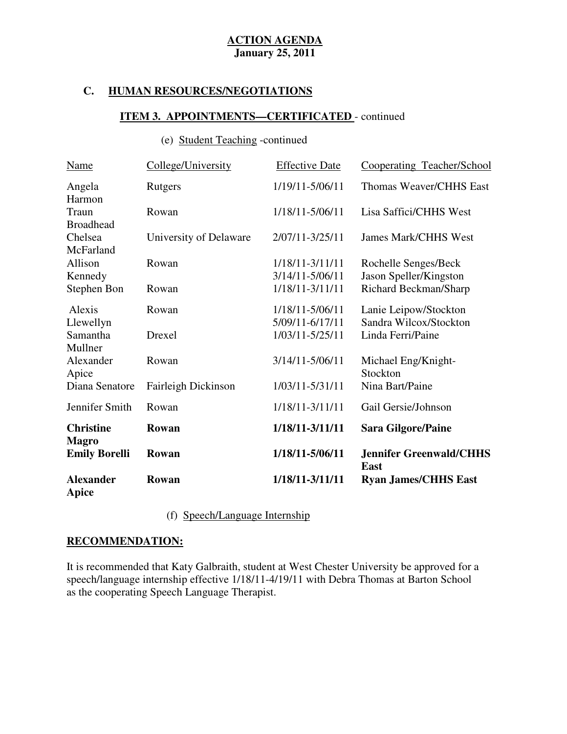## **C. HUMAN RESOURCES/NEGOTIATIONS**

## **ITEM 3. APPOINTMENTS—CERTIFICATED** - continued

## (e) Student Teaching -continued

| Name                             | College/University     | <b>Effective Date</b>              | Cooperating Teacher/School                      |
|----------------------------------|------------------------|------------------------------------|-------------------------------------------------|
| Angela<br>Harmon                 | Rutgers                | 1/19/11-5/06/11                    | Thomas Weaver/CHHS East                         |
| Traun<br><b>Broadhead</b>        | Rowan                  | 1/18/11-5/06/11                    | Lisa Saffici/CHHS West                          |
| Chelsea<br>McFarland             | University of Delaware | 2/07/11-3/25/11                    | <b>James Mark/CHHS West</b>                     |
| Allison<br>Kennedy               | Rowan                  | 1/18/11-3/11/11<br>3/14/11-5/06/11 | Rochelle Senges/Beck<br>Jason Speller/Kingston  |
| Stephen Bon                      | Rowan                  | 1/18/11-3/11/11                    | Richard Beckman/Sharp                           |
| Alexis<br>Llewellyn              | Rowan                  | 1/18/11-5/06/11<br>5/09/11-6/17/11 | Lanie Leipow/Stockton<br>Sandra Wilcox/Stockton |
| Samantha<br>Mullner              | Drexel                 | 1/03/11-5/25/11                    | Linda Ferri/Paine                               |
| Alexander<br>Apice               | Rowan                  | 3/14/11-5/06/11                    | Michael Eng/Knight-<br>Stockton                 |
| Diana Senatore                   | Fairleigh Dickinson    | 1/03/11-5/31/11                    | Nina Bart/Paine                                 |
| Jennifer Smith                   | Rowan                  | 1/18/11-3/11/11                    | Gail Gersie/Johnson                             |
| <b>Christine</b><br><b>Magro</b> | Rowan                  | 1/18/11-3/11/11                    | <b>Sara Gilgore/Paine</b>                       |
| <b>Emily Borelli</b>             | Rowan                  | 1/18/11-5/06/11                    | <b>Jennifer Greenwald/CHHS</b><br><b>East</b>   |
| <b>Alexander</b><br><b>Apice</b> | Rowan                  | 1/18/11-3/11/11                    | <b>Ryan James/CHHS East</b>                     |

(f) Speech/Language Internship

## **RECOMMENDATION:**

 It is recommended that Katy Galbraith, student at West Chester University be approved for a speech/language internship effective 1/18/11-4/19/11 with Debra Thomas at Barton School as the cooperating Speech Language Therapist.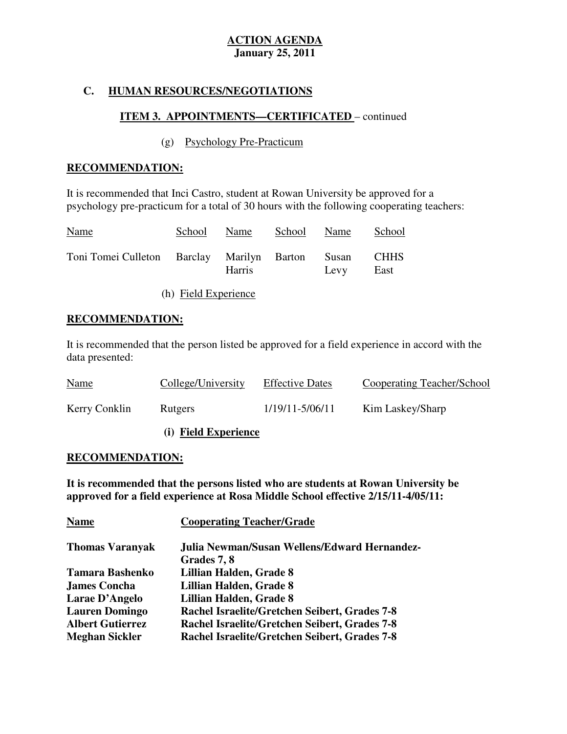## **C. HUMAN RESOURCES/NEGOTIATIONS**

## **ITEM 3. APPOINTMENTS—CERTIFICATED** – continued

## (g) Psychology Pre-Practicum

## **RECOMMENDATION:**

 It is recommended that Inci Castro, student at Rowan University be approved for a psychology pre-practicum for a total of 30 hours with the following cooperating teachers:

| <b>Name</b>                                      | School | Name          | School Name |      | School              |
|--------------------------------------------------|--------|---------------|-------------|------|---------------------|
| Toni Tomei Culleton Barclay Marilyn Barton Susan |        | <b>Harris</b> |             | Levy | <b>CHHS</b><br>East |

(h) Field Experience

## **RECOMMENDATION:**

 It is recommended that the person listed be approved for a field experience in accord with the data presented:

| <b>Name</b>   | College/University | <b>Effective Dates</b> | Cooperating Teacher/School |
|---------------|--------------------|------------------------|----------------------------|
| Kerry Conklin | Rutgers            | 1/19/11-5/06/11        | Kim Laskey/Sharp           |

## **(i) Field Experience**

## **RECOMMENDATION:**

 **It is recommended that the persons listed who are students at Rowan University be approved for a field experience at Rosa Middle School effective 2/15/11-4/05/11:** 

| <b>Cooperating Teacher/Grade</b>              |
|-----------------------------------------------|
| Julia Newman/Susan Wellens/Edward Hernandez-  |
| Grades 7, 8                                   |
| Lillian Halden, Grade 8                       |
| Lillian Halden, Grade 8                       |
| Lillian Halden, Grade 8                       |
| Rachel Israelite/Gretchen Seibert, Grades 7-8 |
| Rachel Israelite/Gretchen Seibert, Grades 7-8 |
| Rachel Israelite/Gretchen Seibert, Grades 7-8 |
|                                               |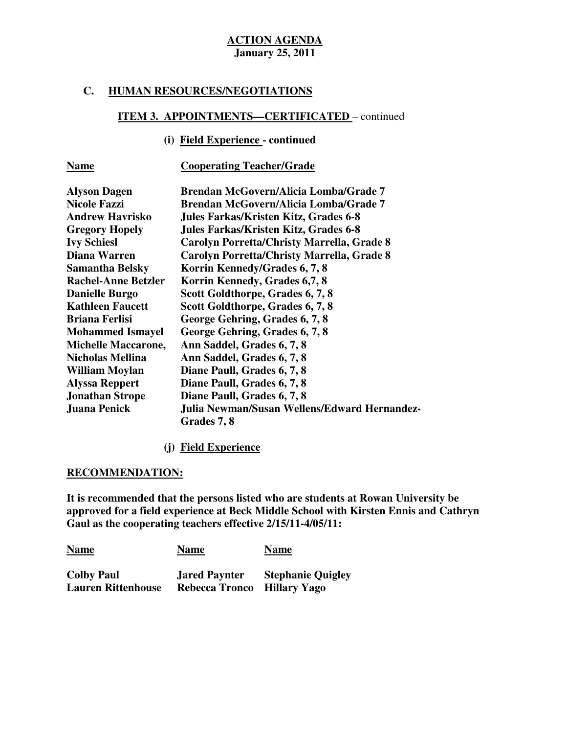### **C. HUMAN RESOURCES/NEGOTIATIONS**

# **ITEM 3. APPOINTMENTS—CERTIFICATED** – continued

# **(i) Field Experience - continued**

## **Name Cooperating Teacher/Grade**

| <b>Alyson Dagen</b>        | <b>Brendan McGovern/Alicia Lomba/Grade 7</b>                |
|----------------------------|-------------------------------------------------------------|
| <b>Nicole Fazzi</b>        | Brendan McGovern/Alicia Lomba/Grade 7                       |
| <b>Andrew Havrisko</b>     | Jules Farkas/Kristen Kitz, Grades 6-8                       |
| <b>Gregory Hopely</b>      | Jules Farkas/Kristen Kitz, Grades 6-8                       |
| <b>Ivy Schiesl</b>         | Carolyn Porretta/Christy Marrella, Grade 8                  |
| Diana Warren               | Carolyn Porretta/Christy Marrella, Grade 8                  |
| <b>Samantha Belsky</b>     | Korrin Kennedy/Grades 6, 7, 8                               |
| <b>Rachel-Anne Betzler</b> | Korrin Kennedy, Grades 6,7, 8                               |
| <b>Danielle Burgo</b>      | Scott Goldthorpe, Grades 6, 7, 8                            |
| <b>Kathleen Faucett</b>    | Scott Goldthorpe, Grades 6, 7, 8                            |
| <b>Briana Ferlisi</b>      | George Gehring, Grades 6, 7, 8                              |
| <b>Mohammed Ismayel</b>    | George Gehring, Grades 6, 7, 8                              |
| <b>Michelle Maccarone,</b> | Ann Saddel, Grades 6, 7, 8                                  |
| Nicholas Mellina           | Ann Saddel, Grades 6, 7, 8                                  |
| <b>William Moylan</b>      | Diane Paull, Grades 6, 7, 8                                 |
| <b>Alyssa Reppert</b>      | Diane Paull, Grades 6, 7, 8                                 |
| <b>Jonathan Strope</b>     | Diane Paull, Grades 6, 7, 8                                 |
| <b>Juana Penick</b>        | Julia Newman/Susan Wellens/Edward Hernandez-<br>Grades 7, 8 |

## **(j) Field Experience**

#### **RECOMMENDATION:**

 **It is recommended that the persons listed who are students at Rowan University be approved for a field experience at Beck Middle School with Kirsten Ennis and Cathryn Gaul as the cooperating teachers effective 2/15/11-4/05/11:** 

| <b>Name</b>               | <b>Name</b>           | <b>Name</b>              |
|---------------------------|-----------------------|--------------------------|
| <b>Colby Paul</b>         | <b>Jared Paynter</b>  | <b>Stephanie Quigley</b> |
| <b>Lauren Rittenhouse</b> | <b>Rebecca Tronco</b> | Hillary Yago             |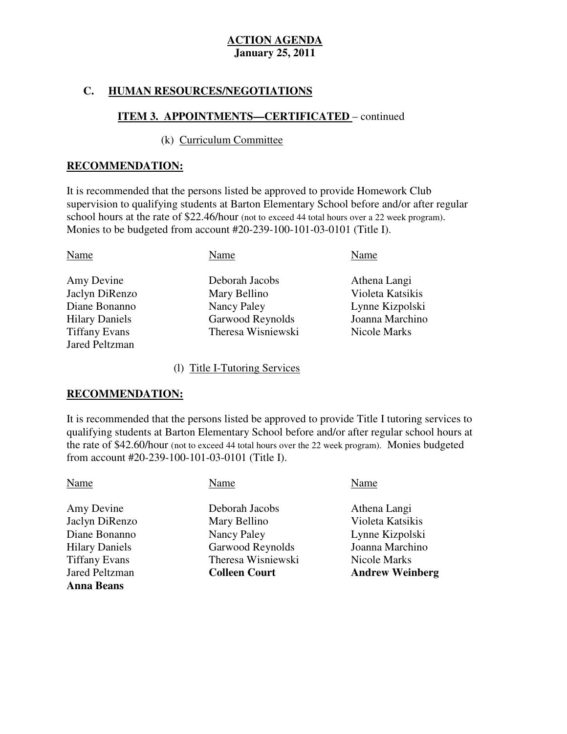## **C. HUMAN RESOURCES/NEGOTIATIONS**

## **ITEM 3. APPOINTMENTS—CERTIFICATED** – continued

#### (k) Curriculum Committee

#### **RECOMMENDATION:**

 It is recommended that the persons listed be approved to provide Homework Club supervision to qualifying students at Barton Elementary School before and/or after regular school hours at the rate of \$22.46/hour (not to exceed 44 total hours over a 22 week program). Monies to be budgeted from account #20-239-100-101-03-0101 (Title I).

| Name                  | Name               | Name             |
|-----------------------|--------------------|------------------|
| Amy Devine            | Deborah Jacobs     | Athena Langi     |
| Jaclyn DiRenzo        | Mary Bellino       | Violeta Katsikis |
| Diane Bonanno         | Nancy Paley        | Lynne Kizpolski  |
| <b>Hilary Daniels</b> | Garwood Reynolds   | Joanna Marchino  |
| <b>Tiffany Evans</b>  | Theresa Wisniewski | Nicole Marks     |
| <b>Jared Peltzman</b> |                    |                  |

#### (l) Title I-Tutoring Services

#### **RECOMMENDATION:**

**Anna Beans** 

 It is recommended that the persons listed be approved to provide Title I tutoring services to qualifying students at Barton Elementary School before and/or after regular school hours at the rate of \$42.60/hour (not to exceed 44 total hours over the 22 week program). Monies budgeted from account #20-239-100-101-03-0101 (Title I).

| Name                  | Name                 | Name                   |
|-----------------------|----------------------|------------------------|
| Amy Devine            | Deborah Jacobs       | Athena Langi           |
| Jaclyn DiRenzo        | Mary Bellino         | Violeta Katsikis       |
| Diane Bonanno         | Nancy Paley          | Lynne Kizpolski        |
| <b>Hilary Daniels</b> | Garwood Reynolds     | Joanna Marchino        |
| <b>Tiffany Evans</b>  | Theresa Wisniewski   | Nicole Marks           |
| <b>Jared Peltzman</b> | <b>Colleen Court</b> | <b>Andrew Weinberg</b> |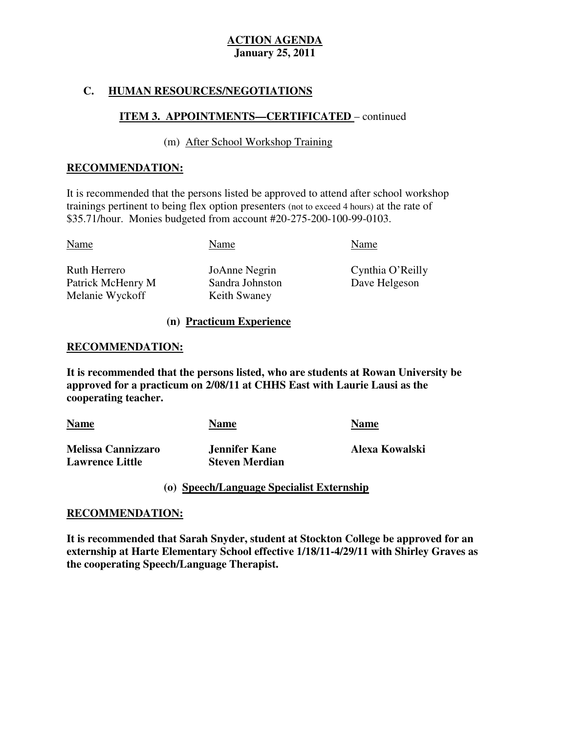## **C. HUMAN RESOURCES/NEGOTIATIONS**

## **ITEM 3. APPOINTMENTS—CERTIFICATED** – continued

## (m) After School Workshop Training

## **RECOMMENDATION:**

 It is recommended that the persons listed be approved to attend after school workshop trainings pertinent to being flex option presenters (not to exceed 4 hours) at the rate of \$35.71/hour. Monies budgeted from account #20-275-200-100-99-0103.

| Name              | Name            | Name   |
|-------------------|-----------------|--------|
| Ruth Herrero      | JoAnne Negrin   | Cynthi |
| Patrick McHenry M | Sandra Johnston | Dave I |
| Melanie Wyckoff   | Keith Swaney    |        |

**Patrick McAust** Sandra Johnston Dave Helgeson Keith Swaney

JoAnne Negrin Cynthia O'Reilly

#### **(n) Practicum Experience**

#### **RECOMMENDATION:**

 **It is recommended that the persons listed, who are students at Rowan University be approved for a practicum on 2/08/11 at CHHS East with Laurie Lausi as the cooperating teacher.** 

| <b>Name</b>               | Name                  | <b>Name</b>    |
|---------------------------|-----------------------|----------------|
| <b>Melissa Cannizzaro</b> | Jennifer Kane         | Alexa Kowalski |
| <b>Lawrence Little</b>    | <b>Steven Merdian</b> |                |

## **(o) Speech/Language Specialist Externship**

## **RECOMMENDATION:**

 **It is recommended that Sarah Snyder, student at Stockton College be approved for an externship at Harte Elementary School effective 1/18/11-4/29/11 with Shirley Graves as the cooperating Speech/Language Therapist.**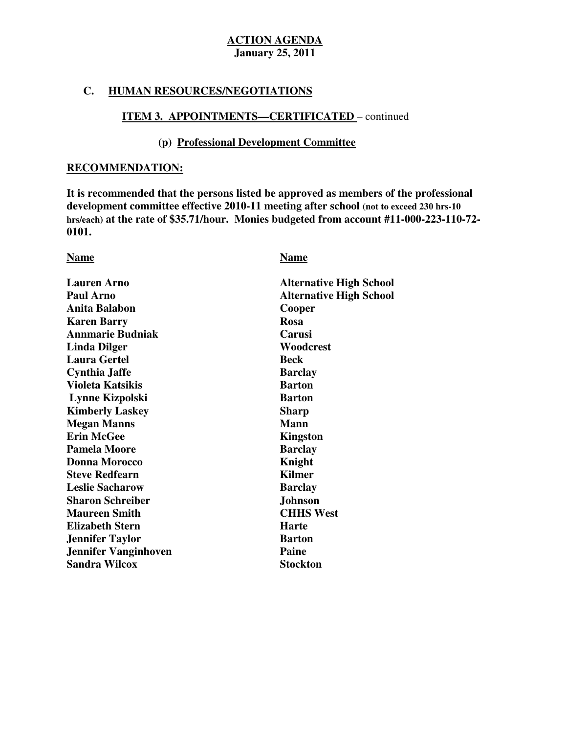## **C. HUMAN RESOURCES/NEGOTIATIONS**

## **ITEM 3. APPOINTMENTS—CERTIFICATED** – continued

## **(p) Professional Development Committee**

### **RECOMMENDATION:**

 **It is recommended that the persons listed be approved as members of the professional development committee effective 2010-11 meeting after school (not to exceed 230 hrs-10 hrs/each) at the rate of \$35.71/hour. Monies budgeted from account #11-000-223-110-72** 0101. **0101.**<br>Name <u>Name</u>

| <b>Lauren Arno</b>          | <b>Alternative High School</b> |
|-----------------------------|--------------------------------|
| <b>Paul Arno</b>            | <b>Alternative High School</b> |
| <b>Anita Balabon</b>        | Cooper                         |
| <b>Karen Barry</b>          | <b>Rosa</b>                    |
| <b>Annmarie Budniak</b>     | Carusi                         |
| <b>Linda Dilger</b>         | Woodcrest                      |
| <b>Laura Gertel</b>         | Beck                           |
| <b>Cynthia Jaffe</b>        | <b>Barclay</b>                 |
| <b>Violeta Katsikis</b>     | <b>Barton</b>                  |
| Lynne Kizpolski             | <b>Barton</b>                  |
| <b>Kimberly Laskey</b>      | <b>Sharp</b>                   |
| <b>Megan Manns</b>          | <b>Mann</b>                    |
| <b>Erin McGee</b>           | <b>Kingston</b>                |
| <b>Pamela Moore</b>         | <b>Barclay</b>                 |
| <b>Donna Morocco</b>        | Knight                         |
| <b>Steve Redfearn</b>       | <b>Kilmer</b>                  |
| <b>Leslie Sacharow</b>      | <b>Barclay</b>                 |
| <b>Sharon Schreiber</b>     | <b>Johnson</b>                 |
| <b>Maureen Smith</b>        | <b>CHHS West</b>               |
| <b>Elizabeth Stern</b>      | <b>Harte</b>                   |
| <b>Jennifer Taylor</b>      | <b>Barton</b>                  |
| <b>Jennifer Vanginhoven</b> | Paine                          |
| <b>Sandra Wilcox</b>        | <b>Stockton</b>                |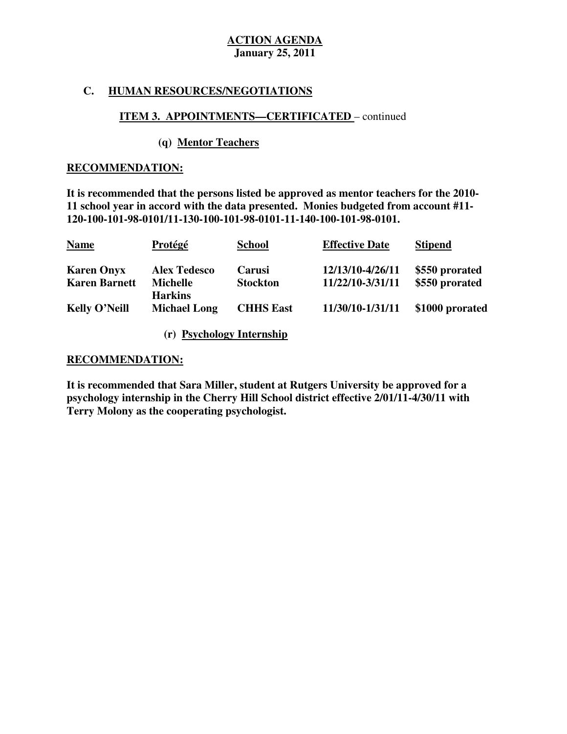## **C. HUMAN RESOURCES/NEGOTIATIONS**

## **ITEM 3. APPOINTMENTS—CERTIFICATED** – continued

## **(q) Mentor Teachers**

#### **RECOMMENDATION:**

 **It is recommended that the persons listed be approved as mentor teachers for the 2010 11 school year in accord with the data presented. Monies budgeted from account #11 120-100-101-98-0101/11-130-100-101-98-0101-11-140-100-101-98-0101.** 

| <b>Name</b>          | Protégé                           | <b>School</b>    | <b>Effective Date</b> | <b>Stipend</b>  |
|----------------------|-----------------------------------|------------------|-----------------------|-----------------|
| <b>Karen Onyx</b>    | <b>Alex Tedesco</b>               | Carusi           | 12/13/10-4/26/11      | \$550 prorated  |
| <b>Karen Barnett</b> | <b>Michelle</b><br><b>Harkins</b> | <b>Stockton</b>  | 11/22/10-3/31/11      | \$550 prorated  |
| <b>Kelly O'Neill</b> | <b>Michael Long</b>               | <b>CHHS East</b> | 11/30/10-1/31/11      | \$1000 prorated |
|                      |                                   |                  |                       |                 |

**(r) Psychology Internship** 

#### **RECOMMENDATION:**

 **It is recommended that Sara Miller, student at Rutgers University be approved for a psychology internship in the Cherry Hill School district effective 2/01/11-4/30/11 with Terry Molony as the cooperating psychologist.**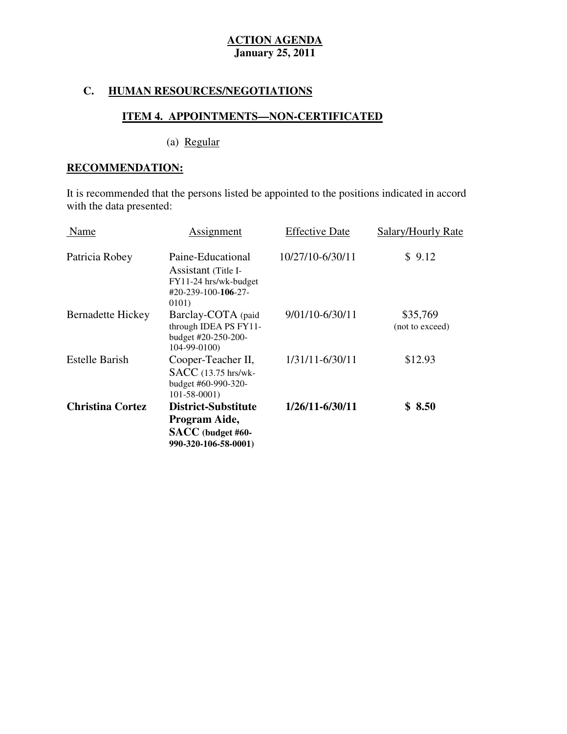## **C. HUMAN RESOURCES/NEGOTIATIONS**

## **ITEM 4. APPOINTMENTS—NON-CERTIFICATED**

(a) Regular

## **RECOMMENDATION:**

 It is recommended that the persons listed be appointed to the positions indicated in accord with the data presented:

| Name                     | Assignment                                                                                                         | <b>Effective Date</b> | Salary/Hourly Rate          |
|--------------------------|--------------------------------------------------------------------------------------------------------------------|-----------------------|-----------------------------|
| Patricia Robey           | Paine-Educational<br>Assistant (Title I-<br>FY11-24 hrs/wk-budget<br>$\text{\#}20 - 239 - 100 - 106 - 27$<br>0101) | 10/27/10-6/30/11      | \$9.12                      |
| <b>Bernadette Hickey</b> | Barclay-COTA (paid<br>through IDEA PS FY11-<br>budget #20-250-200-<br>$104-99-0100$                                | 9/01/10-6/30/11       | \$35,769<br>(not to exceed) |
| <b>Estelle Barish</b>    | Cooper-Teacher II,<br>SACC (13.75 hrs/wk-<br>budget #60-990-320-<br>$101 - 58 - 0001$                              | 1/31/11-6/30/11       | \$12.93                     |
| <b>Christina Cortez</b>  | <b>District-Substitute</b><br>Program Aide,<br>SACC (budget #60-<br>990-320-106-58-0001)                           | 1/26/11-6/30/11       | \$8.50                      |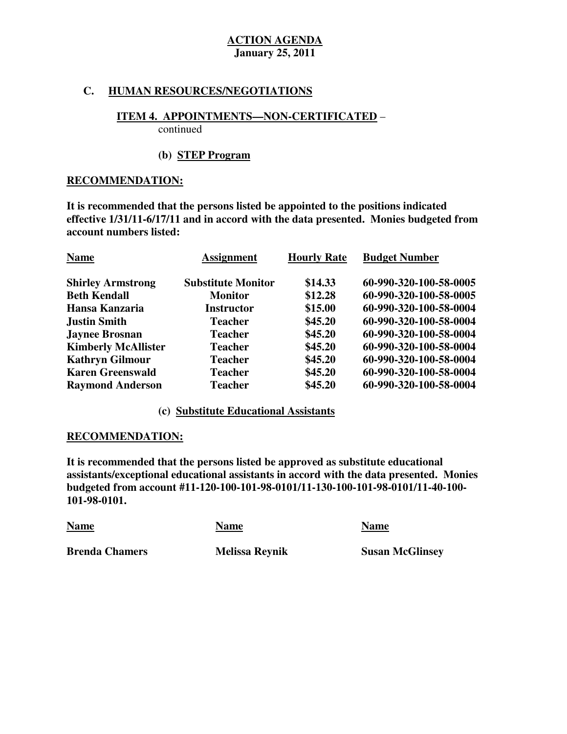## **C. HUMAN RESOURCES/NEGOTIATIONS**

## **ITEM 4. APPOINTMENTS—NON-CERTIFICATED** –

continued

## **(b) STEP Program**

## **RECOMMENDATION:**

 **It is recommended that the persons listed be appointed to the positions indicated effective 1/31/11-6/17/11 and in accord with the data presented. Monies budgeted from account numbers listed:** 

| <b>Name</b>                | <b>Assignment</b>         | <b>Hourly Rate</b> | <b>Budget Number</b>   |
|----------------------------|---------------------------|--------------------|------------------------|
| <b>Shirley Armstrong</b>   | <b>Substitute Monitor</b> | \$14.33            | 60-990-320-100-58-0005 |
| <b>Beth Kendall</b>        | <b>Monitor</b>            | \$12.28            | 60-990-320-100-58-0005 |
| Hansa Kanzaria             | <b>Instructor</b>         | \$15.00            | 60-990-320-100-58-0004 |
| <b>Justin Smith</b>        | <b>Teacher</b>            | \$45.20            | 60-990-320-100-58-0004 |
| <b>Jaynee Brosnan</b>      | <b>Teacher</b>            | \$45.20            | 60-990-320-100-58-0004 |
| <b>Kimberly McAllister</b> | <b>Teacher</b>            | \$45.20            | 60-990-320-100-58-0004 |
| <b>Kathryn Gilmour</b>     | <b>Teacher</b>            | \$45.20            | 60-990-320-100-58-0004 |
| <b>Karen Greenswald</b>    | <b>Teacher</b>            | \$45.20            | 60-990-320-100-58-0004 |
| <b>Raymond Anderson</b>    | <b>Teacher</b>            | \$45.20            | 60-990-320-100-58-0004 |

## **(c) Substitute Educational Assistants**

## **RECOMMENDATION:**

 **It is recommended that the persons listed be approved as substitute educational assistants/exceptional educational assistants in accord with the data presented. Monies budgeted from account #11-120-100-101-98-0101/11-130-100-101-98-0101/11-40-100 101-98-0101.** 

| <b>Name</b>           | Name                  | <b>Name</b>            |
|-----------------------|-----------------------|------------------------|
| <b>Brenda Chamers</b> | <b>Melissa Reynik</b> | <b>Susan McGlinsey</b> |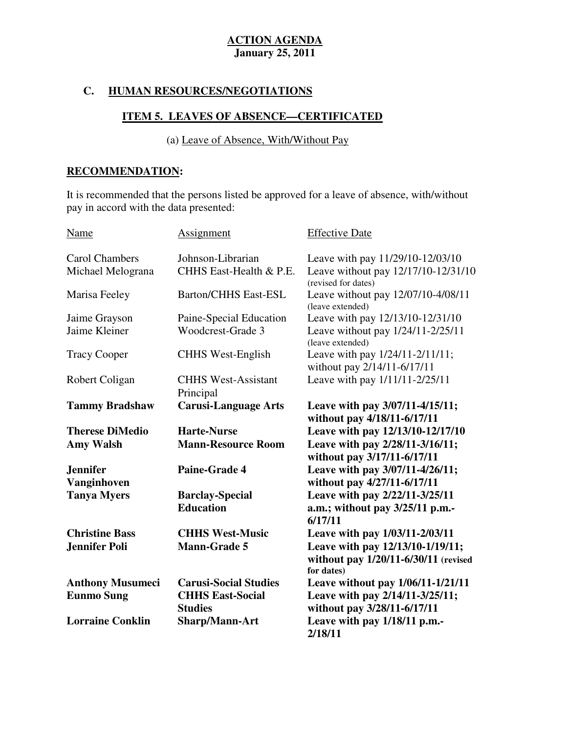## **C. HUMAN RESOURCES/NEGOTIATIONS**

## **ITEM 5. LEAVES OF ABSENCE—CERTIFICATED**

(a) Leave of Absence, With/Without Pay

## **RECOMMENDATION:**

 It is recommended that the persons listed be approved for a leave of absence, with/without pay in accord with the data presented:

| Name                           | <b>Assignment</b>                          | <b>Effective Date</b>                                                                  |
|--------------------------------|--------------------------------------------|----------------------------------------------------------------------------------------|
| <b>Carol Chambers</b>          | Johnson-Librarian                          | Leave with pay 11/29/10-12/03/10                                                       |
| Michael Melograna              | CHHS East-Health & P.E.                    | Leave without pay 12/17/10-12/31/10<br>(revised for dates)                             |
| Marisa Feeley                  | <b>Barton/CHHS East-ESL</b>                | Leave without pay 12/07/10-4/08/11<br>(leave extended)                                 |
| Jaime Grayson                  | Paine-Special Education                    | Leave with pay 12/13/10-12/31/10                                                       |
| Jaime Kleiner                  | Woodcrest-Grade 3                          | Leave without pay 1/24/11-2/25/11<br>(leave extended)                                  |
| <b>Tracy Cooper</b>            | <b>CHHS West-English</b>                   | Leave with pay 1/24/11-2/11/11;<br>without pay 2/14/11-6/17/11                         |
| Robert Coligan                 | <b>CHHS West-Assistant</b><br>Principal    | Leave with pay 1/11/11-2/25/11                                                         |
| <b>Tammy Bradshaw</b>          | <b>Carusi-Language Arts</b>                | Leave with pay 3/07/11-4/15/11;<br>without pay 4/18/11-6/17/11                         |
| <b>Therese DiMedio</b>         | <b>Harte-Nurse</b>                         | Leave with pay 12/13/10-12/17/10                                                       |
| <b>Amy Walsh</b>               | <b>Mann-Resource Room</b>                  | Leave with pay 2/28/11-3/16/11;<br>without pay 3/17/11-6/17/11                         |
| <b>Jennifer</b><br>Vanginhoven | Paine-Grade 4                              | Leave with pay 3/07/11-4/26/11;<br>without pay 4/27/11-6/17/11                         |
| <b>Tanya Myers</b>             | <b>Barclay-Special</b><br><b>Education</b> | Leave with pay 2/22/11-3/25/11<br>a.m.; without pay 3/25/11 p.m.-<br>6/17/11           |
| <b>Christine Bass</b>          | <b>CHHS West-Music</b>                     | Leave with pay 1/03/11-2/03/11                                                         |
| <b>Jennifer Poli</b>           | <b>Mann-Grade 5</b>                        | Leave with pay 12/13/10-1/19/11;<br>without pay 1/20/11-6/30/11 (revised<br>for dates) |
| <b>Anthony Musumeci</b>        | <b>Carusi-Social Studies</b>               | Leave without pay 1/06/11-1/21/11                                                      |
| <b>Eunmo Sung</b>              | <b>CHHS East-Social</b>                    | Leave with pay 2/14/11-3/25/11;                                                        |
|                                | <b>Studies</b>                             | without pay 3/28/11-6/17/11                                                            |
| <b>Lorraine Conklin</b>        | Sharp/Mann-Art                             | Leave with pay 1/18/11 p.m.-<br>2/18/11                                                |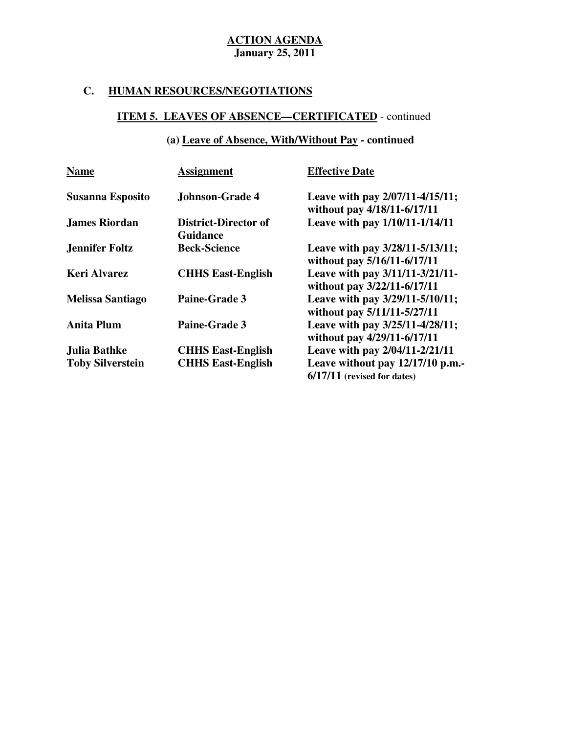## **C. HUMAN RESOURCES/NEGOTIATIONS**

## **ITEM 5. LEAVES OF ABSENCE—CERTIFICATED** - continued

## **(a) Leave of Absence, With/Without Pay - continued**

| <b>Name</b>             | <b>Assignment</b>                              | <b>Effective Date</b>                                              |
|-------------------------|------------------------------------------------|--------------------------------------------------------------------|
| <b>Susanna Esposito</b> | <b>Johnson-Grade 4</b>                         | Leave with pay 2/07/11-4/15/11;<br>without pay 4/18/11-6/17/11     |
| <b>James Riordan</b>    | <b>District-Director of</b><br><b>Guidance</b> | Leave with pay 1/10/11-1/14/11                                     |
| <b>Jennifer Foltz</b>   | <b>Beck-Science</b>                            | Leave with pay 3/28/11-5/13/11;<br>without pay 5/16/11-6/17/11     |
| <b>Keri Alvarez</b>     | <b>CHHS East-English</b>                       | Leave with pay 3/11/11-3/21/11-<br>without pay 3/22/11-6/17/11     |
| <b>Melissa Santiago</b> | <b>Paine-Grade 3</b>                           | Leave with pay 3/29/11-5/10/11;<br>without pay 5/11/11-5/27/11     |
| <b>Anita Plum</b>       | <b>Paine-Grade 3</b>                           | Leave with pay 3/25/11-4/28/11;<br>without pay 4/29/11-6/17/11     |
| Julia Bathke            | <b>CHHS East-English</b>                       | Leave with pay 2/04/11-2/21/11                                     |
| <b>Toby Silverstein</b> | <b>CHHS East-English</b>                       | Leave without pay $12/17/10$ p.m.<br>$6/17/11$ (revised for dates) |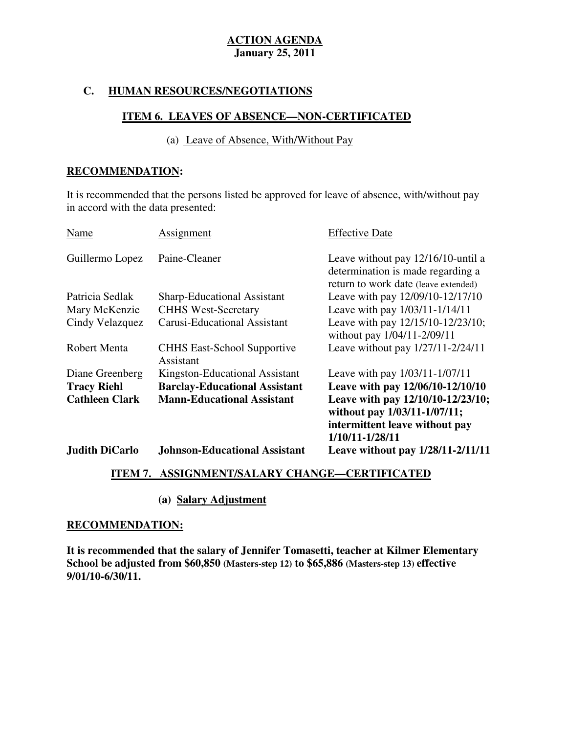### **C. HUMAN RESOURCES/NEGOTIATIONS**

### **ITEM 6. LEAVES OF ABSENCE—NON-CERTIFICATED**

(a) Leave of Absence, With/Without Pay

#### **RECOMMENDATION:**

 It is recommended that the persons listed be approved for leave of absence, with/without pay in accord with the data presented:

| Name                                        | Assignment                                                                | <b>Effective Date</b>                                                                                                                                      |
|---------------------------------------------|---------------------------------------------------------------------------|------------------------------------------------------------------------------------------------------------------------------------------------------------|
| Guillermo Lopez                             | Paine-Cleaner                                                             | Leave without pay 12/16/10-until a<br>determination is made regarding a<br>return to work date (leave extended)                                            |
| Patricia Sedlak                             | Sharp-Educational Assistant                                               | Leave with pay 12/09/10-12/17/10                                                                                                                           |
| Mary McKenzie                               | <b>CHHS West-Secretary</b>                                                | Leave with pay 1/03/11-1/14/11                                                                                                                             |
| Cindy Velazquez                             | <b>Carusi-Educational Assistant</b>                                       | Leave with pay 12/15/10-12/23/10;<br>without pay 1/04/11-2/09/11                                                                                           |
| <b>Robert Menta</b>                         | <b>CHHS East-School Supportive</b><br>Assistant                           | Leave without pay 1/27/11-2/24/11                                                                                                                          |
| Diane Greenberg                             | Kingston-Educational Assistant                                            | Leave with pay 1/03/11-1/07/11                                                                                                                             |
| <b>Tracy Riehl</b><br><b>Cathleen Clark</b> | <b>Barclay-Educational Assistant</b><br><b>Mann-Educational Assistant</b> | Leave with pay 12/06/10-12/10/10<br>Leave with pay 12/10/10-12/23/10;<br>without pay 1/03/11-1/07/11;<br>intermittent leave without pay<br>1/10/11-1/28/11 |
| <b>Judith DiCarlo</b>                       | <b>Johnson-Educational Assistant</b>                                      | Leave without pay 1/28/11-2/11/11                                                                                                                          |

## **ITEM 7. ASSIGNMENT/SALARY CHANGE—CERTIFICATED**

## **(a) Salary Adjustment**

#### **RECOMMENDATION:**

 **It is recommended that the salary of Jennifer Tomasetti, teacher at Kilmer Elementary School be adjusted from \$60,850 (Masters-step 12) to \$65,886 (Masters-step 13) effective 9/01/10-6/30/11.**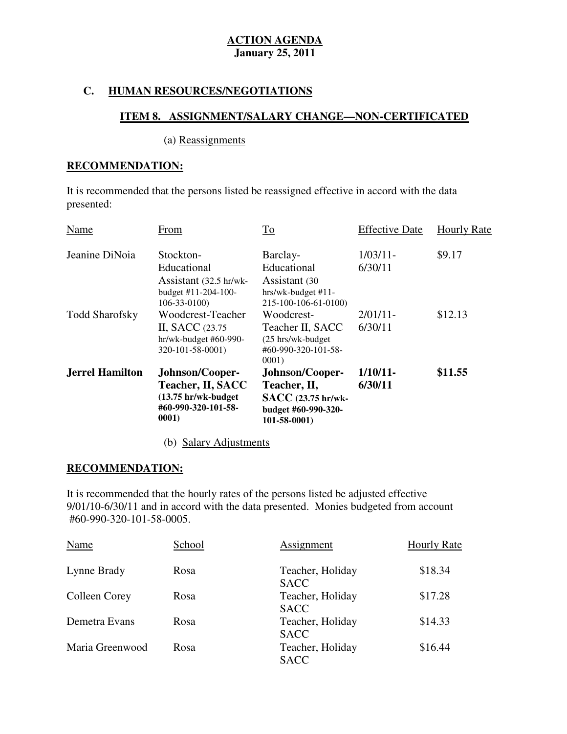## **C. HUMAN RESOURCES/NEGOTIATIONS**

## **ITEM 8. ASSIGNMENT/SALARY CHANGE—NON-CERTIFICATED**

## (a) Reassignments

## **RECOMMENDATION:**

 It is recommended that the persons listed be reassigned effective in accord with the data presented:

|                        | Teacher, II, SACC<br>(13.75 hr/wk-budget<br>#60-990-320-101-58-<br>0001)                | Teacher, II,<br>SACC (23.75 hr/wk-<br>budget #60-990-320-<br>$101 - 58 - 0001$ | 6/30/11                |                    |
|------------------------|-----------------------------------------------------------------------------------------|--------------------------------------------------------------------------------|------------------------|--------------------|
| <b>Jerrel Hamilton</b> | Johnson/Cooper-                                                                         | Johnson/Cooper-                                                                | $1/10/11$ -            | \$11.55            |
|                        | II, SACC (23.75)<br>hr/wk-budget #60-990-<br>320-101-58-0001)                           | Teacher II, SACC<br>(25 hrs/wk-budget)<br>#60-990-320-101-58-<br>0001)         | 6/30/11                |                    |
| <b>Todd Sharofsky</b>  | Assistant (32.5 hr/wk-<br>budget #11-204-100-<br>$106 - 33 - 0100$<br>Woodcrest-Teacher | Assistant (30<br>hrs/wk-budget #11-<br>215-100-106-61-0100)<br>Woodcrest-      | $2/01/11$ -            | \$12.13            |
| Jeanine DiNoia         | Stockton-<br>Educational                                                                | Barclay-<br>Educational                                                        | $1/03/11$ -<br>6/30/11 | \$9.17             |
| Name                   | From                                                                                    | To                                                                             | <b>Effective Date</b>  | <b>Hourly Rate</b> |
| presented:             |                                                                                         |                                                                                |                        |                    |

(b) Salary Adjustments

## **RECOMMENDATION:**

 It is recommended that the hourly rates of the persons listed be adjusted effective 9/01/10-6/30/11 and in accord with the data presented. Monies budgeted from account #60-990-320-101-58-0005.

| #60-990-320-101-58-0005. |        |                                 |                    |
|--------------------------|--------|---------------------------------|--------------------|
| Name                     | School | Assignment                      | <b>Hourly Rate</b> |
| Lynne Brady              | Rosa   | Teacher, Holiday<br><b>SACC</b> | \$18.34            |
| Colleen Corey            | Rosa   | Teacher, Holiday<br><b>SACC</b> | \$17.28            |
| Demetra Evans            | Rosa   | Teacher, Holiday<br><b>SACC</b> | \$14.33            |
| Maria Greenwood          | Rosa   | Teacher, Holiday<br><b>SACC</b> | \$16.44            |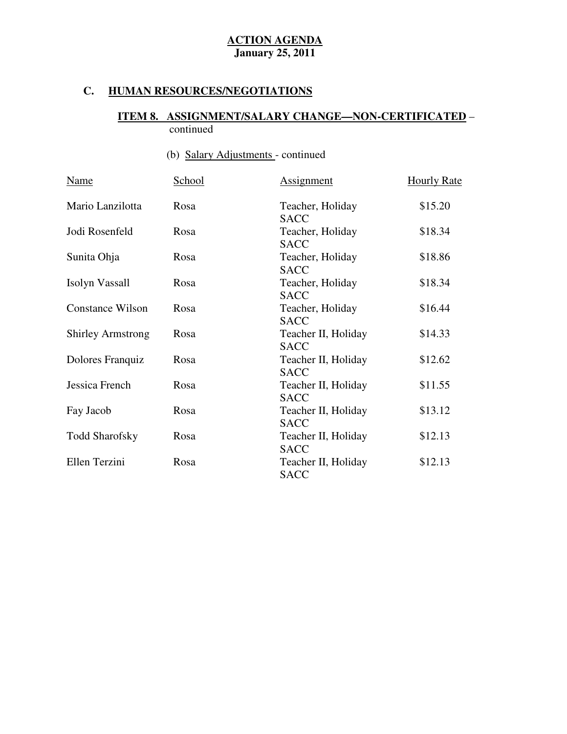## **C. HUMAN RESOURCES/NEGOTIATIONS**

#### **ITEM 8. ASSIGNMENT/SALARY CHANGE—NON-CERTIFICATED** – continued

# (b) Salary Adjustments - continued

| Name                     | School | <b>Assignment</b>                  | <b>Hourly Rate</b> |
|--------------------------|--------|------------------------------------|--------------------|
| Mario Lanzilotta         | Rosa   | Teacher, Holiday<br><b>SACC</b>    | \$15.20            |
| Jodi Rosenfeld           | Rosa   | Teacher, Holiday<br><b>SACC</b>    | \$18.34            |
| Sunita Ohja              | Rosa   | Teacher, Holiday<br><b>SACC</b>    | \$18.86            |
| Isolyn Vassall           | Rosa   | Teacher, Holiday<br><b>SACC</b>    | \$18.34            |
| <b>Constance Wilson</b>  | Rosa   | Teacher, Holiday<br><b>SACC</b>    | \$16.44            |
| <b>Shirley Armstrong</b> | Rosa   | Teacher II, Holiday<br><b>SACC</b> | \$14.33            |
| Dolores Franquiz         | Rosa   | Teacher II, Holiday<br><b>SACC</b> | \$12.62            |
| Jessica French           | Rosa   | Teacher II, Holiday<br><b>SACC</b> | \$11.55            |
| Fay Jacob                | Rosa   | Teacher II, Holiday<br><b>SACC</b> | \$13.12            |
| <b>Todd Sharofsky</b>    | Rosa   | Teacher II, Holiday<br><b>SACC</b> | \$12.13            |
| Ellen Terzini            | Rosa   | Teacher II, Holiday<br><b>SACC</b> | \$12.13            |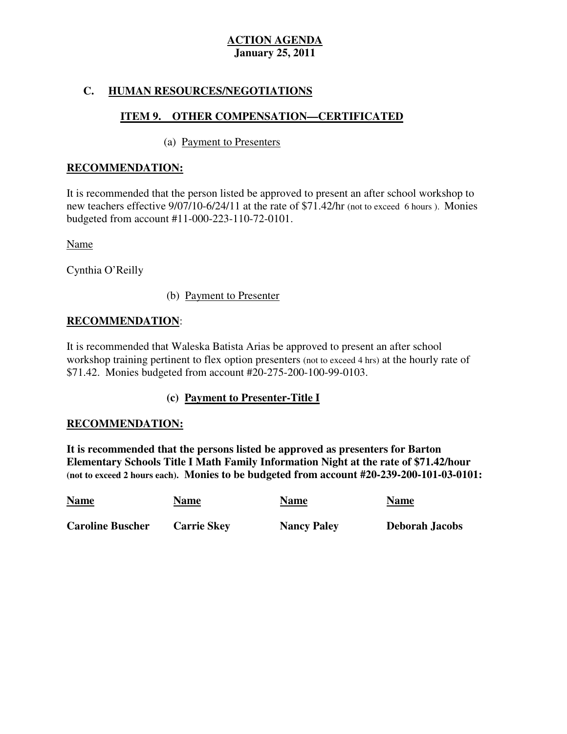## **C. HUMAN RESOURCES/NEGOTIATIONS**

## **ITEM 9. OTHER COMPENSATION—CERTIFICATED**

## (a) Payment to Presenters

## **RECOMMENDATION:**

 It is recommended that the person listed be approved to present an after school workshop to new teachers effective 9/07/10-6/24/11 at the rate of \$71.42/hr (not to exceed 6 hours ). Monies budgeted from account #11-000-223-110-72-0101.

Name

Cynthia O'Reilly

## (b) Payment to Presenter

## **RECOMMENDATION**:

 It is recommended that Waleska Batista Arias be approved to present an after school workshop training pertinent to flex option presenters (not to exceed 4 hrs) at the hourly rate of \$71.42. Monies budgeted from account #20-275-200-100-99-0103.

## **(c) Payment to Presenter-Title I**

## **RECOMMENDATION:**

 **It is recommended that the persons listed be approved as presenters for Barton Elementary Schools Title I Math Family Information Night at the rate of \$71.42/hour (not to exceed 2 hours each). Monies to be budgeted from account #20-239-200-101-03-0101:** 

| <b>Name</b>             | <b>Name</b>        | <b>Name</b>        | <b>Name</b>           |
|-------------------------|--------------------|--------------------|-----------------------|
| <b>Caroline Buscher</b> | <b>Carrie Skey</b> | <b>Nancy Paley</b> | <b>Deborah Jacobs</b> |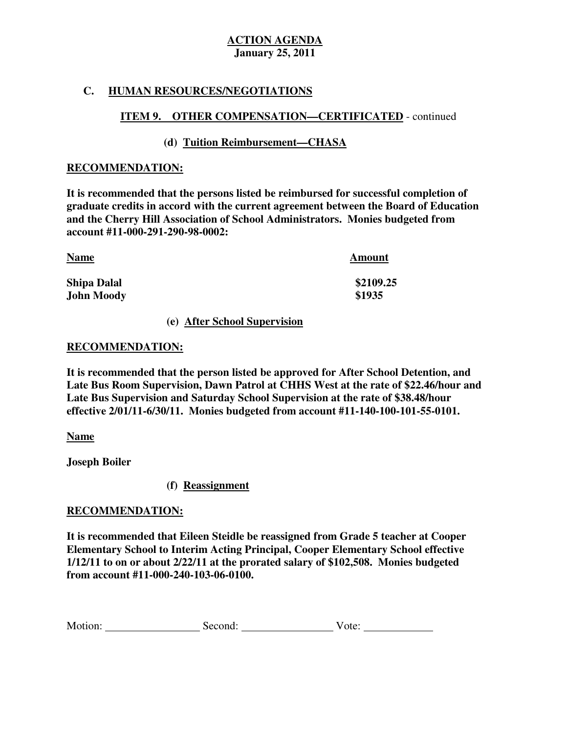## **C. HUMAN RESOURCES/NEGOTIATIONS**

## **ITEM 9. OTHER COMPENSATION—CERTIFICATED** - continued

## **(d) Tuition Reimbursement—CHASA**

### **RECOMMENDATION:**

 **It is recommended that the persons listed be reimbursed for successful completion of graduate credits in accord with the current agreement between the Board of Education and the Cherry Hill Association of School Administrators. Monies budgeted from account #11-000-291-290-98-0002:** 

| <b>Name</b>        | Amount    |
|--------------------|-----------|
| <b>Shipa Dalal</b> | \$2109.25 |
| <b>John Moody</b>  | \$1935    |

#### **(e) After School Supervision**

#### **RECOMMENDATION:**

 **It is recommended that the person listed be approved for After School Detention, and Late Bus Room Supervision, Dawn Patrol at CHHS West at the rate of \$22.46/hour and Late Bus Supervision and Saturday School Supervision at the rate of \$38.48/hour effective 2/01/11-6/30/11. Monies budgeted from account #11-140-100-101-55-0101.** 

#### **Name**

 **Joseph Boiler** 

## **(f) Reassignment**

## **RECOMMENDATION:**

 **It is recommended that Eileen Steidle be reassigned from Grade 5 teacher at Cooper Elementary School to Interim Acting Principal, Cooper Elementary School effective 1/12/11 to on or about 2/22/11 at the prorated salary of \$102,508. Monies budgeted from account #11-000-240-103-06-0100.** 

| Motion:<br>V ote:<br>Second: |  |  |
|------------------------------|--|--|
|------------------------------|--|--|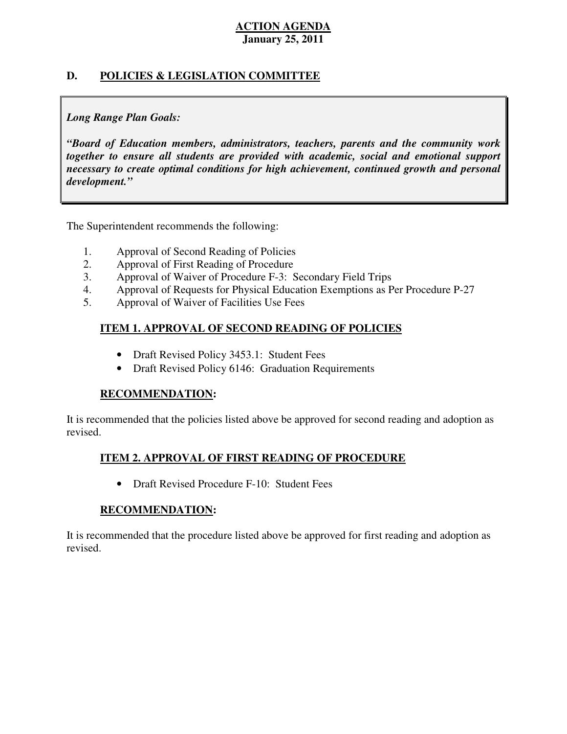## **D. POLICIES & LEGISLATION COMMITTEE**

## *Long Range Plan Goals:*

 *"Board of Education members, administrators, teachers, parents and the community work together to ensure all students are provided with academic, social and emotional support necessary to create optimal conditions for high achievement, continued growth and personal development."* 

The Superintendent recommends the following:

- 1. Approval of Second Reading of Policies
- 2. Approval of First Reading of Procedure
- 3. Approval of Waiver of Procedure F-3: Secondary Field Trips
- 4. Approval of Requests for Physical Education Exemptions as Per Procedure P-27
- 5. Approval of Waiver of Facilities Use Fees

## **ITEM 1. APPROVAL OF SECOND READING OF POLICIES**

- Draft Revised Policy 3453.1: Student Fees
- Draft Revised Policy 6146: Graduation Requirements

## **RECOMMENDATION:**

 It is recommended that the policies listed above be approved for second reading and adoption as revised.

## **ITEM 2. APPROVAL OF FIRST READING OF PROCEDURE**

• Draft Revised Procedure F-10: Student Fees

## **RECOMMENDATION:**

 It is recommended that the procedure listed above be approved for first reading and adoption as revised.